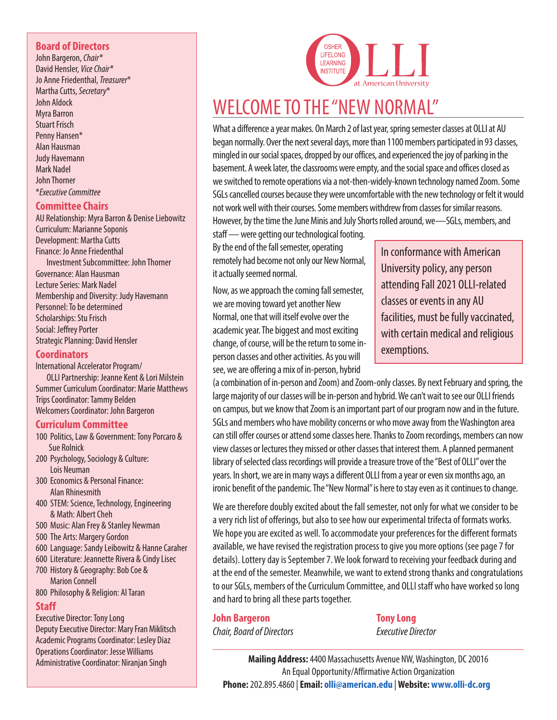#### **Board of Directors**

John Bargeron, *Chair\** David Hensler, *Vice Chair\** Jo Anne Friedenthal, *Treasurer*\* Martha Cutts, *Secretary*\* John Aldock Myra Barron Stuart Frisch Penny Hansen\* Alan Hausman Judy Havemann Mark Nadel John Thorner \**Executive Committee*

#### **Committee Chairs**

AU Relationship: Myra Barron & Denise Liebowitz Curriculum: Marianne Soponis Development: Martha Cutts Finance: Jo Anne Friedenthal Investment Subcommittee: John Thorner Governance: Alan Hausman Lecture Series: Mark Nadel Membership and Diversity: Judy Havemann Personnel: To be determined Scholarships: Stu Frisch Social: Jeffrey Porter

Strategic Planning: David Hensler

#### **Coordinators**

International Accelerator Program/ OLLI Partnership: Jeanne Kent & Lori Milstein Summer Curriculum Coordinator: Marie Matthews Trips Coordinator: Tammy Belden Welcomers Coordinator: John Bargeron

#### **Curriculum Committee**

- 100 Politics, Law & Government: Tony Porcaro & Sue Rolnick
- 200 Psychology, Sociology & Culture: Lois Neuman
- 300 Economics & Personal Finance: Alan Rhinesmith
- 400 STEM: Science, Technology, Engineering & Math: Albert Cheh
- 500 Music: Alan Frey & Stanley Newman
- 500 The Arts: Margery Gordon
- 600 Language: Sandy Leibowitz & Hanne Caraher
- 600 Literature: Jeannette Rivera & Cindy Lisec
- 700 History & Geography: Bob Coe & Marion Connell
- 800 Philosophy & Religion: Al Taran

#### **Staff**

Executive Director: Tony Long Deputy Executive Director: Mary Fran Miklitsch Academic Programs Coordinator: Lesley Diaz Operations Coordinator: Jesse Williams Administrative Coordinator: Niranjan Singh



## WELCOME TO THE "NEW NORMAL"

What a difference a year makes. On March 2 of last year, spring semester classes at OLLI at AU began normally. Over the next several days, more than 1100 members participated in 93 classes, mingled in our social spaces, dropped by our offices, and experienced the joy of parking in the basement. A week later, the classrooms were empty, and the social space and offices closed as we switched to remote operations via a not-then-widely-known technology named Zoom. Some SGLs cancelled courses because they were uncomfortable with the new technology or felt it would not work well with their courses. Some members withdrew from classes for similar reasons. However, by the time the June Minis and July Shorts rolled around, we—SGLs, members, and

staff — were getting our technological footing. By the end of the fall semester, operating remotely had become not only our New Normal, it actually seemed normal.

Now, as we approach the coming fall semester, we are moving toward yet another New Normal, one that will itself evolve over the academic year. The biggest and most exciting change, of course, will be the return to some inperson classes and other activities. As you will see, we are offering a mix of in-person, hybrid

In conformance with American University policy, any person attending Fall 2021 OLLI-related classes or events in any AU facilities, must be fully vaccinated, with certain medical and religious exemptions.

(a combination of in-person and Zoom) and Zoom-only classes. By next February and spring, the large majority of our classes will be in-person and hybrid. We can't wait to see our OLLI friends on campus, but we know that Zoom is an important part of our program now and in the future. SGLs and members who have mobility concerns or who move away from the Washington area can still offer courses or attend some classes here. Thanks to Zoom recordings, members can now view classes or lectures they missed or other classes that interest them. A planned permanent library of selected class recordings will provide a treasure trove of the "Best of OLLI" over the years. In short, we are in many ways a different OLLI from a year or even six months ago, an ironic benefit of the pandemic. The "New Normal" is here to stay even as it continues to change.

We are therefore doubly excited about the fall semester, not only for what we consider to be a very rich list of offerings, but also to see how our experimental trifecta of formats works. We hope you are excited as well. To accommodate your preferences for the different formats available, we have revised the registration process to give you more options (see page 7 for details). Lottery day is September 7. We look forward to receiving your feedback during and at the end of the semester. Meanwhile, we want to extend strong thanks and congratulations to our SGLs, members of the Curriculum Committee, and OLLI staff who have worked so long and hard to bring all these parts together.

#### **John Bargeron** Tony Long

*Chair, Board of Directors Executive Director*

**PB**  $\mathbf{P}$  is a set of the set of the set of the set of the set of the set of the set of the set of the set of the set of the set of the set of the set of the set of the set of the set of the set of the set of the set o **Mailing Address:** 4400 Massachusetts Avenue NW, Washington, DC 20016 An Equal Opportunity/Affirmative Action Organization **Phone:** 202.895.4860 | **Email: olli@american.edu** | **Website: www.olli-dc.org**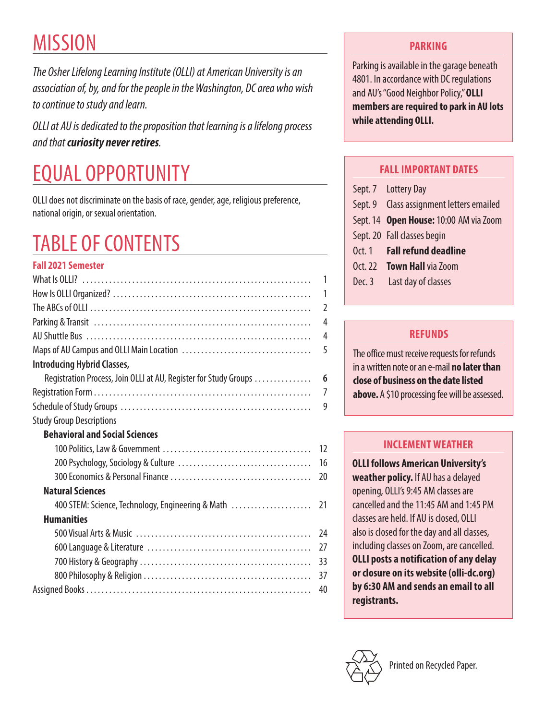# **MISSION**

*The Osher Lifelong Learning Institute (OLLI) at American University is an association of, by, and for the people in the Washington, DC area who wish to continue to study and learn.*

*OLLI at AU is dedicated to the proposition that learning is a lifelong process and that curiosity never retires.*

# EQUAL OPPORTUNITY

OLLI does not discriminate on the basis of race, gender, age, religious preference, national origin, or sexual orientation.

# TABLE OF CONTENTS

## **Fall 2021 Semester** What Is OLLI? . 1 How Is OLLI Organized? . 1 The ABCs of OLLI . 2 Parking & Transit . 4 AU Shuttle Bus . 4 Maps of AU Campus and OLLI Main Location . 5 **Introducing Hybrid Classes,**  Registration Process, Join OLLI at AU, Register for Study Groups . **6** Registration Form . 7 Schedule of Study Groups . 9 Study Group Descriptions **Behavioral and Social Sciences**

| <b>Natural Sciences</b> |  |
|-------------------------|--|
|                         |  |
| <b>Humanities</b>       |  |
|                         |  |
|                         |  |
|                         |  |
|                         |  |
|                         |  |
|                         |  |

## **PARKING**

Parking is available in the garage beneath 4801. In accordance with DC regulations and AU's "Good Neighbor Policy," **OLLI members are required to park in AU lots while attending OLLI.**

## **FALL IMPORTANT DATES**

|            | Sept. 7 Lottery Day                      |
|------------|------------------------------------------|
|            | Sept. 9 Class assignment letters emailed |
|            | Sept. 14 Open House: 10:00 AM via Zoom   |
|            | Sept. 20 Fall classes begin              |
|            | Oct. 1 Fall refund deadline              |
| $0$ ct. 22 | <b>Town Hall via Zoom</b>                |
|            | Dec. 3 Last day of classes               |
|            |                                          |

## **REFUNDS**

The office must receive requests for refunds in a written note or an e-mail **no later than close of business on the date listed above.** A \$10 processing fee will be assessed.

## **INCLEMENT WEATHER**

**OLLI follows American University's weather policy.** If AU has a delayed opening, OLLI's 9:45 AM classes are cancelled and the 11:45 AM and 1:45 PM classes are held. If AU is closed, OLLI also is closed for the day and all classes, including classes on Zoom, are cancelled. **OLLI posts a notification of any delay or closure on its website [\(olli-dc.org\)](https://olli-dc.org)  by 6:30 AM and sends an email to all registrants.**

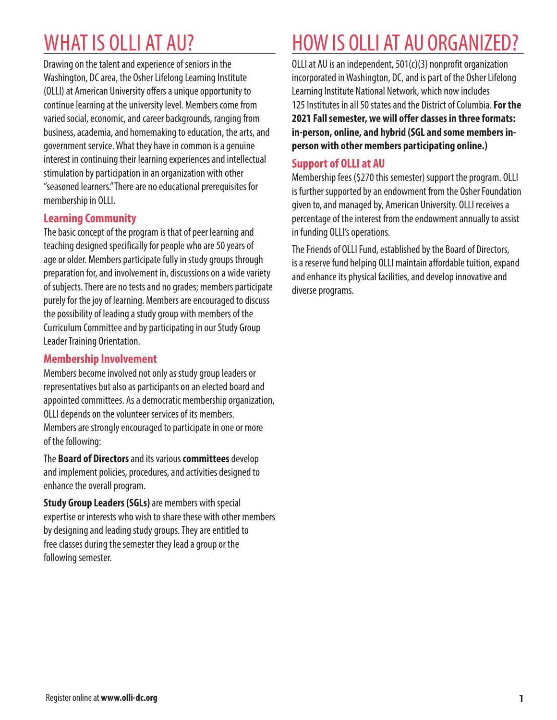## WHAT IS OLLI AT AU?

Drawing on the talent and experience of seniors in the Washington, DC area, the Osher Lifelong Learning Institute (OLLI) at American University offers a unique opportunity to continue learning at the university level. Members come from varied social, economic, and career backgrounds, ranging from business, academia, and homemaking to education, the arts, and government service. What they have in common is a genuine interest in continuing their learning experiences and intellectual stimulation by participation in an organization with other "seasoned learners." There are no educational prerequisites for membership in OLLI.

## **Learning Community**

The basic concept of the program is that of peer learning and teaching designed specifically for people who are 50 years of age or older. Members participate fully in study groups through preparation for, and involvement in, discussions on a wide variety of subjects. There are no tests and no grades; members participate purely for the joy of learning. Members are encouraged to discuss the possibility of leading a study group with members of the Curriculum Committee and by participating in our Study Group Leader Training Orientation.

### **Membership Involvement**

Members become involved not only as study group leaders or representatives but also as participants on an elected board and appointed committees. As a democratic membership organization, OLLI depends on the volunteer services of its members. Members are strongly encouraged to participate in one or more of the following:

The **Board of Directors** and its various **committees** develop and implement policies, procedures, and activities designed to enhance the overall program.

**Study Group Leaders (SGLs)** are members with special expertise or interests who wish to share these with other members by designing and leading study groups. They are entitled to free classes during the semester they lead a group or the following semester.

## HOW IS OLLI AT AU ORGANIZED?

OLLI at AU is an independent, 501(c)(3) nonprofit organization incorporated in Washington, DC, and is part of the Osher Lifelong Learning Institute National Network, which now includes 125 Institutes in all 50 states and the District of Columbia. **For the 2021 Fall semester, we will offer classes in three formats: in-person, online, and hybrid (SGL and some members inperson with other members participating online.)**

### **Support of OLLI at AU**

Membership fees (\$270 this semester) support the program. OLLI is further supported by an endowment from the Osher Foundation given to, and managed by, American University. OLLI receives a percentage of the interest from the endowment annually to assist in funding OLLI's operations.

The Friends of OLLI Fund, established by the Board of Directors, is a reserve fund helping OLLI maintain affordable tuition, expand and enhance its physical facilities, and develop innovative and diverse programs.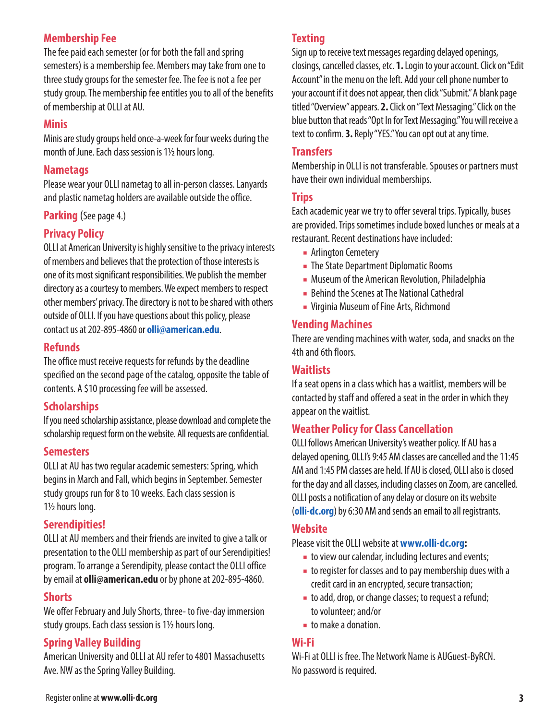## **Membership Fee**

The fee paid each semester (or for both the fall and spring semesters) is a membership fee. Members may take from one to three study groups for the semester fee. The fee is not a fee per study group. The membership fee entitles you to all of the benefits of membership at OLLI at AU.

#### **Minis**

Minis are study groups held once-a-week for four weeks during the month of June. Each class session is 11/2 hours long.

### **Nametags**

Please wear your OLLI nametag to all in-person classes. Lanyards and plastic nametag holders are available outside the office.

**Parking** (See page 4.)

## **Privacy Policy**

OLLI at American University is highly sensitive to the privacy interests of members and believes that the protection of those interests is one of its most significant responsibilities. We publish the member directory as a courtesy to members. We expect members to respect other members' privacy. The directory is not to be shared with others outside of OLLI. If you have questions about this policy, please contact us at 202-895-4860 or **olli@american.edu**.

## **Refunds**

The office must receive requests for refunds by the deadline specified on the second page of the catalog, opposite the table of contents. A \$10 processing fee will be assessed.

## **Scholarships**

If you need scholarship assistance, please download and complete the scholarship request form on the website. All requests are confidential.

#### **Semesters**

OLLI at AU has two regular academic semesters: Spring, which begins in March and Fall, which begins in September. Semester study groups run for 8 to 10 weeks. Each class session is 1<sup>1</sup>/<sub>2</sub> hours long.

## **Serendipities!**

OLLI at AU members and their friends are invited to give a talk or presentation to the OLLI membership as part of our Serendipities! program. To arrange a Serendipity, please contact the OLLI office by email at **olli@american.edu** or by phone at 202-895-4860.

## **Shorts**

We offer February and July Shorts, three- to five-day immersion study groups. Each class session is 11/2 hours long.

## **Spring Valley Building**

American University and OLLI at AU refer to 4801 Massachusetts Ave. NW as the Spring Valley Building.

## **Texting**

Sign up to receive text messages regarding delayed openings, closings, cancelled classes, etc. **1.** Login to your account. Click on "Edit Account" in the menu on the left. Add your cell phone number to your account if it does not appear, then click "Submit." A blank page titled "Overview" appears. **2.** Click on "Text Messaging." Click on the blue button that reads "Opt In for Text Messaging." You will receive a text to confirm. **3.** Reply "YES." You can opt out at any time.

#### **Transfers**

Membership in OLLI is not transferable. Spouses or partners must have their own individual memberships.

#### **Trips**

Each academic year we try to offer several trips. Typically, buses are provided. Trips sometimes include boxed lunches or meals at a restaurant. Recent destinations have included:

- Arlington Cemetery
- The State Department Diplomatic Rooms
- Museum of the American Revolution, Philadelphia
- Behind the Scenes at The National Cathedral
- Virginia Museum of Fine Arts, Richmond

## **Vending Machines**

There are vending machines with water, soda, and snacks on the 4th and 6th floors.

#### **Waitlists**

If a seat opens in a class which has a waitlist, members will be contacted by staff and offered a seat in the order in which they appear on the waitlist.

## **Weather Policy for Class Cancellation**

OLLI follows American University's weather policy. If AU has a delayed opening, OLLI's 9:45 AM classes are cancelled and the 11:45 AM and 1:45 PM classes are held. If AU is closed, OLLI also is closed for the day and all classes, including classes on Zoom, are cancelled. OLLI posts a notification of any delay or closure on its website (**olli-dc.org**) by 6:30 AM and sends an email to all registrants.

## **Website**

Please visit the OLLI website at **www.olli-dc.org:**

- to view our calendar, including lectures and events;
- to register for classes and to pay membership dues with a credit card in an encrypted, secure transaction;
- to add, drop, or change classes; to request a refund; to volunteer; and/or
- to make a donation.

## **Wi-Fi**

Wi-Fi at OLLI is free. The Network Name is AUGuest-ByRCN. No password is required.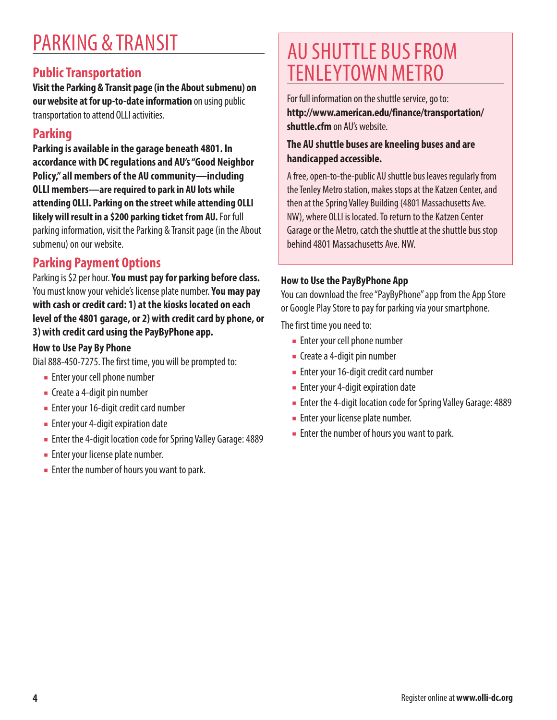## PARKING & TRANSIT

## **Public Transportation**

**Visit the Parking & Transit page (in the About submenu) on our website at for up-to-date information** on using public transportation to attend OLLI activities.

## **Parking**

**Parking is available in the garage beneath 4801. In accordance with DC regulations and AU's "Good Neighbor Policy," all members of the AU community—including OLLI members—are required to park in AU lots while attending OLLI. Parking on the street while attending OLLI likely will result in a \$200 parking ticket from AU.** For full parking information, visit the Parking & Transit page (in the About submenu) on our website.

## **Parking Payment Options**

Parking is \$2 per hour. **You must pay for parking before class.** You must know your vehicle's license plate number. **You may pay with cash or credit card: 1) at the kiosks located on each level of the 4801 garage, or 2) with credit card by phone, or 3) with credit card using the PayByPhone app.**

### **How to Use Pay By Phone**

Dial 888-450-7275. The first time, you will be prompted to:

- Enter your cell phone number
- Create a 4-digit pin number
- Enter your 16-digit credit card number
- Enter your 4-digit expiration date
- Enter the 4-digit location code for Spring Valley Garage: 4889
- Enter your license plate number.
- Enter the number of hours you want to park.

## AU SHUTTLE BUS FROM TENLEYTOWN METRO

For full information on the shuttle service, go to: **http://www.american.edu/finance/transportation/ shuttle.cfm** on AU's website.

### **The AU shuttle buses are kneeling buses and are handicapped accessible.**

A free, open-to-the-public AU shuttle bus leaves regularly from the Tenley Metro station, makes stops at the Katzen Center, and then at the Spring Valley Building (4801 Massachusetts Ave. NW), where OLLI is located. To return to the Katzen Center Garage or the Metro, catch the shuttle at the shuttle bus stop behind 4801 Massachusetts Ave. NW.

#### **How to Use the PayByPhone App**

You can download the free "PayByPhone" app from the App Store or Google Play Store to pay for parking via your smartphone.

The first time you need to:

- Enter your cell phone number
- Create a 4-digit pin number
- Enter your 16-digit credit card number
- Enter your 4-digit expiration date
- Enter the 4-digit location code for Spring Valley Garage: 4889
- Enter your license plate number.
- Enter the number of hours you want to park.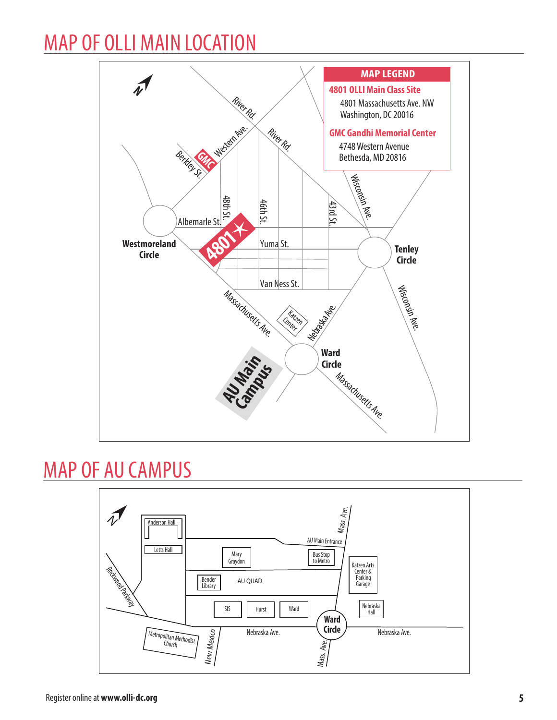## MAP OF OLLI MAIN LOCATION



## MAP OF AU CAMPUS

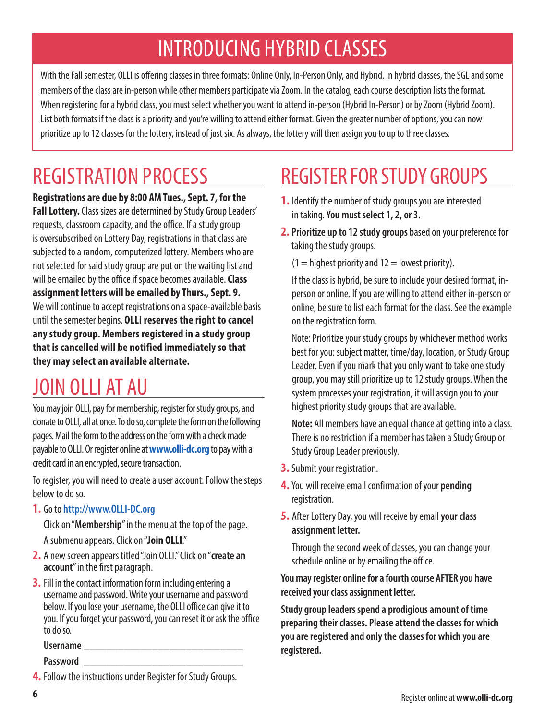## INTRODUCING HYBRID CLASSES

With the Fall semester, OLLI is offering classes in three formats: Online Only, In-Person Only, and Hybrid. In hybrid classes, the SGL and some members of the class are in-person while other members participate via Zoom. In the catalog, each course description lists the format. When registering for a hybrid class, you must select whether you want to attend in-person (Hybrid In-Person) or by Zoom (Hybrid Zoom). List both formats if the class is a priority and you're willing to attend either format. Given the greater number of options, you can now prioritize up to 12 classes for the lottery, instead of just six. As always, the lottery will then assign you to up to three classes.

## REGISTRATION PROCESS

**Registrations are due by 8:00 AM Tues., Sept. 7, for the Fall Lottery.** Class sizes are determined by Study Group Leaders' requests, classroom capacity, and the office. If a study group is oversubscribed on Lottery Day, registrations in that class are subjected to a random, computerized lottery. Members who are not selected for said study group are put on the waiting list and will be emailed by the office if space becomes available. **Class assignment letters will be emailed by Thurs., Sept. 9.**  We will continue to accept registrations on a space-available basis until the semester begins. **OLLI reserves the right to cancel any study group. Members registered in a study group that is cancelled will be notified immediately so that they may select an available alternate.**

## JOIN OLLI AT AU

You may join OLLI, pay for membership, register for study groups, and donate to OLLI, all at once. To do so, complete the form on the following pages. Mail the form to the address on the form with a check made payable to OLLI. Or register online at **www.olli-dc.org** to pay with a credit card in an encrypted, secure transaction.

To register, you will need to create a user account. Follow the steps below to do so.

**1.** Go to **http://www.OLLI-DC.org**

Click on "**Membership**" in the menu at the top of the page. A submenu appears. Click on "**Join OLLI**."

- **2.** A new screen appears titled "Join OLLI." Click on "**create an account**" in the first paragraph.
- **3.** Fill in the contact information form including entering a username and password. Write your username and password below. If you lose your username, the OLLI office can give it to you. If you forget your password, you can reset it or ask the office to do so.

**Username** 

**Password** \_\_\_\_\_\_\_\_\_\_\_\_\_\_\_\_\_\_\_\_\_\_\_\_\_\_\_\_

# REGISTER FOR STUDY GROUPS

- **1.** Identify the number of study groups you are interested in taking. **You must select 1, 2, or 3.**
- **2. Prioritize up to 12 study groups**based on your preference for taking the study groups.

 $(1 =$  highest priority and  $12 =$  lowest priority).

 If the class is hybrid, be sure to include your desired format, inperson or online. If you are willing to attend either in-person or online, be sure to list each format for the class. See the example on the registration form.

 Note: Prioritize your study groups by whichever method works best for you: subject matter, time/day, location, or Study Group Leader. Even if you mark that you only want to take one study group, you may still prioritize up to 12 study groups. When the system processes your registration, it will assign you to your highest priority study groups that are available.

**Note:** All members have an equal chance at getting into a class. There is no restriction if a member has taken a Study Group or Study Group Leader previously.

- **3.** Submit your registration.
- **4.** You will receive email confirmation of your **pending** registration.
- **5.** After Lottery Day, you will receive by email **your class assignment letter.**

 Through the second week of classes, you can change your schedule online or by emailing the office.

#### **You may register online for a fourth course AFTER you have received your class assignment letter.**

**Study group leaders spend a prodigious amount of time preparing their classes. Please attend the classes for which you are registered and only the classes for which you are registered.**

**<sup>4.</sup>** Follow the instructions under Register for Study Groups.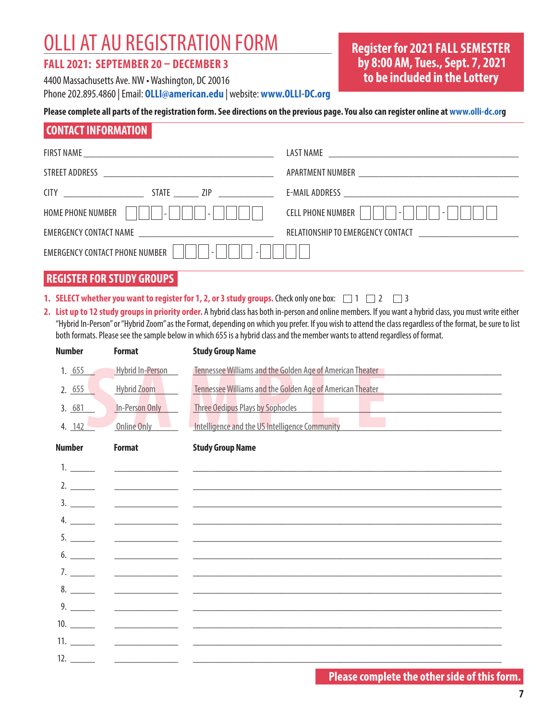## OLLI AT AU REGISTRATION FORM

#### **FALL 2021: SEPTEMBER 20 – DECEMBER 3**

4400 Massachusetts Ave. NW • Washington, DC 20016 Phone 202.895.4860 | Email: **OLLI@american.edu** | website: **www.OLLI-DC.org** **Register for 2021 FALL SEMESTER by 8:00 AM, Tues., Sept. 7, 2021 to be included in the Lottery**

#### **Please complete all parts of the registration form. See directions on the previous page. You also can register online at www.olli-dc.org**

### **CONTACT INFORMATION**

| HOME PHONE NUMBER          -         -        | CELL PHONE NUMBER          -         - |
|-----------------------------------------------|----------------------------------------|
|                                               |                                        |
| EMERGENCY CONTACT PHONE NUMBER     <br>$\sim$ |                                        |

## **REGISTER FOR STUDY GROUPS**

- **1. SELECT whether you want to register for 1, 2, or 3 study groups.** Check only one box:  $\Box$  1  $\Box$  2  $\Box$  3
- **2. List up to 12 study groups in priority order.** A hybrid class has both in-person and online members. If you want a hybrid class, you must write either "Hybrid In-Person" or "Hybrid Zoom" as the Format, depending on which you prefer. If you wish to attend the class regardless of the format, be sure to list both formats. Please see the sample below in which 655 is a hybrid class and the member wants to attend regardless of format.

| <b>Number</b>                          | <b>Format</b>                                                    | <b>Study Group Name</b>                                                                                                                                                                                             |
|----------------------------------------|------------------------------------------------------------------|---------------------------------------------------------------------------------------------------------------------------------------------------------------------------------------------------------------------|
| 1. $655$<br>2.655<br>3.681<br>4. $142$ | Hybrid In-Person<br>Hybrid Zoom<br>In-Person Only<br>Online Only | Tennessee Williams and the Golden Age of American Theater<br>Tennessee Williams and the Golden Age of American Theater<br><b>Three Oedipus Plays by Sophocles</b><br>Intelligence and the US Intelligence Community |
| <b>Number</b>                          | <b>Format</b>                                                    | <b>Study Group Name</b>                                                                                                                                                                                             |
|                                        | <u> The Communication of the Communication</u>                   |                                                                                                                                                                                                                     |
| 2.                                     | <u> The Common State (1999)</u>                                  |                                                                                                                                                                                                                     |
|                                        |                                                                  |                                                                                                                                                                                                                     |
|                                        |                                                                  |                                                                                                                                                                                                                     |
|                                        |                                                                  |                                                                                                                                                                                                                     |
|                                        |                                                                  |                                                                                                                                                                                                                     |
|                                        |                                                                  |                                                                                                                                                                                                                     |
|                                        |                                                                  |                                                                                                                                                                                                                     |
|                                        |                                                                  |                                                                                                                                                                                                                     |
|                                        |                                                                  |                                                                                                                                                                                                                     |
|                                        |                                                                  |                                                                                                                                                                                                                     |
|                                        |                                                                  |                                                                                                                                                                                                                     |

## **Please complete the other side of this form.**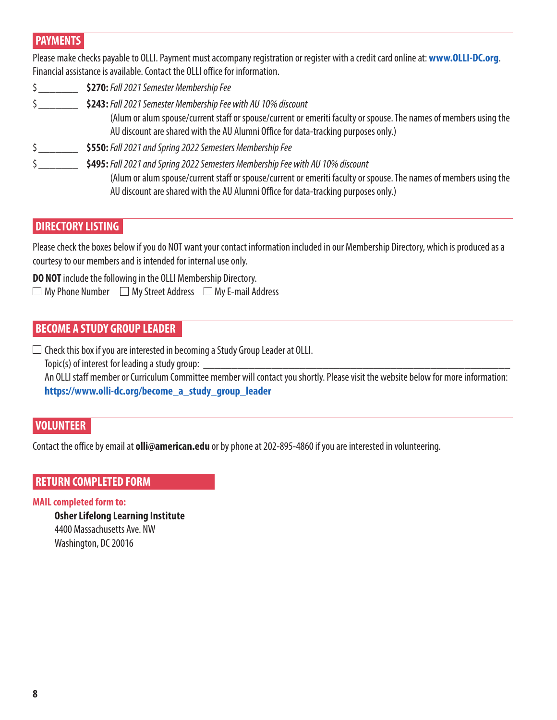## **PAYMENTS**

Please make checks payable to OLLI. Payment must accompany registration or register with a credit card online at: **www.OLLI-DC.org**. Financial assistance is available. Contact the OLLI office for information.

- \$\_\_\_\_\_\_\_ **\$270:** *Fall 2021 Semester Membership Fee*
- \$\_\_\_\_\_\_\_ **\$243:** *Fall 2021 Semester Membership Fee with AU 10% discount* (Alum or alum spouse/current staff or spouse/current or emeriti faculty or spouse. The names of members using the AU discount are shared with the AU Alumni Office for data-tracking purposes only.)
- \$\_\_\_\_\_\_\_ **\$550:** *Fall 2021 and Spring 2022 Semesters Membership Fee*
- \$\_\_\_\_\_\_\_ **\$495:** *Fall 2021 and Spring 2022 Semesters Membership Fee with AU 10% discount* (Alum or alum spouse/current staff or spouse/current or emeriti faculty or spouse. The names of members using the AU discount are shared with the AU Alumni Office for data-tracking purposes only.)

## **DIRECTORY LISTING**

Please check the boxes below if you do NOT want your contact information included in our Membership Directory, which is produced as a courtesy to our members and is intended for internal use only.

**DO NOT** include the following in the OLLI Membership Directory.  $\Box$  My Phone Number  $\Box$  My Street Address  $\Box$  My E-mail Address

## **BECOME A STUDY GROUP LEADER**

 $\square$  Check this box if you are interested in becoming a Study Group Leader at OLLI.

 $Topic(s)$  of interest for leading a study group:

An OLLI staff member or Curriculum Committee member will contact you shortly. Please visit the website below for more information: **https://www.olli-dc.org/become\_a\_study\_group\_leader**

## **VOLUNTEER**

Contact the office by email at **olli@american.edu** or by phone at 202-895-4860 if you are interested in volunteering.

## **RETURN COMPLETED FORM**

#### **MAIL completed form to:**

**Osher Lifelong Learning Institute** 4400 Massachusetts Ave. NW Washington, DC 20016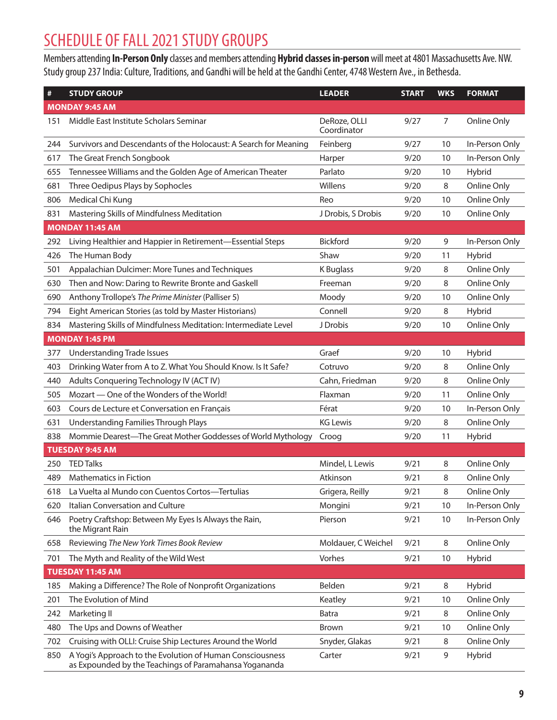## SCHEDULE OF FALL 2021 STUDY GROUPS

Members attending **In-Person Only** classes and members attending **Hybrid classes in-person** will meet at 4801 Massachusetts Ave. NW. Study group 237 India: Culture, Traditions, and Gandhi will be held at the Gandhi Center, 4748 Western Ave., in Bethesda.

| #   | <b>STUDY GROUP</b>                                                                                                  | <b>LEADER</b>               | <b>START</b> | <b>WKS</b> | <b>FORMAT</b>  |
|-----|---------------------------------------------------------------------------------------------------------------------|-----------------------------|--------------|------------|----------------|
|     | <b>MONDAY 9:45 AM</b>                                                                                               |                             |              |            |                |
| 151 | Middle East Institute Scholars Seminar                                                                              | DeRoze, OLLI<br>Coordinator | 9/27         | 7          | Online Only    |
| 244 | Survivors and Descendants of the Holocaust: A Search for Meaning                                                    | Feinberg                    | 9/27         | 10         | In-Person Only |
| 617 | The Great French Songbook                                                                                           | Harper                      | 9/20         | 10         | In-Person Only |
| 655 | Tennessee Williams and the Golden Age of American Theater                                                           | Parlato                     | 9/20         | 10         | Hybrid         |
| 681 | Three Oedipus Plays by Sophocles                                                                                    | Willens                     | 9/20         | 8          | Online Only    |
| 806 | Medical Chi Kung                                                                                                    | Reo                         | 9/20         | 10         | Online Only    |
| 831 | Mastering Skills of Mindfulness Meditation                                                                          | J Drobis, S Drobis          | 9/20         | 10         | Online Only    |
|     | <b>MONDAY 11:45 AM</b>                                                                                              |                             |              |            |                |
| 292 | Living Healthier and Happier in Retirement-Essential Steps                                                          | <b>Bickford</b>             | 9/20         | 9          | In-Person Only |
| 426 | The Human Body                                                                                                      | Shaw                        | 9/20         | 11         | Hybrid         |
| 501 | Appalachian Dulcimer: More Tunes and Techniques                                                                     | <b>K</b> Buglass            | 9/20         | 8          | Online Only    |
| 630 | Then and Now: Daring to Rewrite Bronte and Gaskell                                                                  | Freeman                     | 9/20         | 8          | Online Only    |
| 690 | Anthony Trollope's The Prime Minister (Palliser 5)                                                                  | Moody                       | 9/20         | 10         | Online Only    |
| 794 | Eight American Stories (as told by Master Historians)                                                               | Connell                     | 9/20         | 8          | Hybrid         |
| 834 | Mastering Skills of Mindfulness Meditation: Intermediate Level                                                      | J Drobis                    | 9/20         | 10         | Online Only    |
|     | <b>MONDAY 1:45 PM</b>                                                                                               |                             |              |            |                |
| 377 | <b>Understanding Trade Issues</b>                                                                                   | Graef                       | 9/20         | 10         | Hybrid         |
| 403 | Drinking Water from A to Z. What You Should Know. Is It Safe?                                                       | Cotruvo                     | 9/20         | 8          | Online Only    |
| 440 | Adults Conquering Technology IV (ACT IV)                                                                            | Cahn, Friedman              | 9/20         | 8          | Online Only    |
| 505 | Mozart — One of the Wonders of the World!                                                                           | Flaxman                     | 9/20         | 11         | Online Only    |
| 603 | Cours de Lecture et Conversation en Français                                                                        | Férat                       | 9/20         | 10         | In-Person Only |
| 631 | Understanding Families Through Plays                                                                                | <b>KG Lewis</b>             | 9/20         | 8          | Online Only    |
| 838 | Mommie Dearest-The Great Mother Goddesses of World Mythology                                                        | Croog                       | 9/20         | 11         | Hybrid         |
|     | <b>TUESDAY 9:45 AM</b>                                                                                              |                             |              |            |                |
| 250 | <b>TED Talks</b>                                                                                                    | Mindel, L Lewis             | 9/21         | 8          | Online Only    |
| 489 | <b>Mathematics in Fiction</b>                                                                                       | Atkinson                    | 9/21         | 8          | Online Only    |
|     | 618 La Vuelta al Mundo con Cuentos Cortos-Tertulias                                                                 | Grigera, Reilly             | 9/21         | 8          | Online Only    |
| 620 | Italian Conversation and Culture                                                                                    | Mongini                     | 9/21         | 10         | In-Person Only |
| 646 | Poetry Craftshop: Between My Eyes Is Always the Rain,<br>the Migrant Rain                                           | Pierson                     | 9/21         | 10         | In-Person Only |
| 658 | Reviewing The New York Times Book Review                                                                            | Moldauer, C Weichel         | 9/21         | 8          | Online Only    |
| 701 | The Myth and Reality of the Wild West                                                                               | Vorhes                      | 9/21         | 10         | Hybrid         |
|     | TUESDAY 11:45 AM                                                                                                    |                             |              |            |                |
| 185 | Making a Difference? The Role of Nonprofit Organizations                                                            | Belden                      | 9/21         | 8          | Hybrid         |
| 201 | The Evolution of Mind                                                                                               | Keatley                     | 9/21         | 10         | Online Only    |
| 242 | Marketing II                                                                                                        | Batra                       | 9/21         | 8          | Online Only    |
| 480 | The Ups and Downs of Weather                                                                                        | <b>Brown</b>                | 9/21         | 10         | Online Only    |
| 702 | Cruising with OLLI: Cruise Ship Lectures Around the World                                                           | Snyder, Glakas              | 9/21         | 8          | Online Only    |
| 850 | A Yogi's Approach to the Evolution of Human Consciousness<br>as Expounded by the Teachings of Paramahansa Yogananda | Carter                      | 9/21         | 9          | Hybrid         |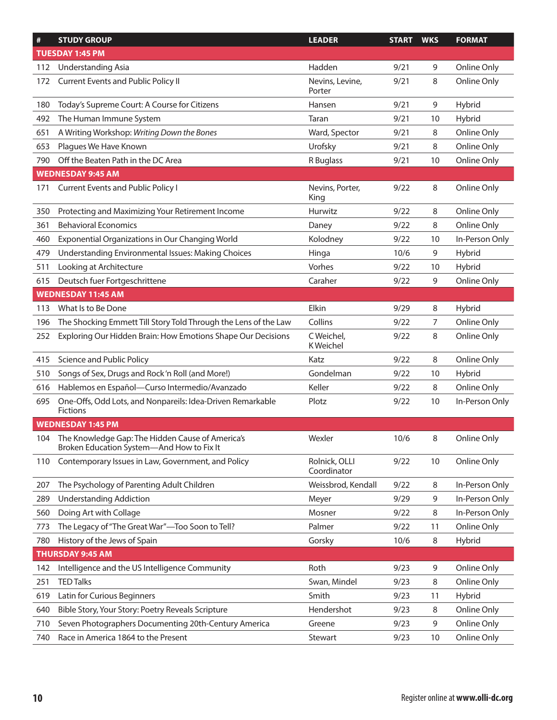| $\#$ | <b>STUDY GROUP</b>                                                                                | <b>LEADER</b>                | <b>START</b> | <b>WKS</b> | <b>FORMAT</b>  |
|------|---------------------------------------------------------------------------------------------------|------------------------------|--------------|------------|----------------|
|      | <b>TUESDAY 1:45 PM</b>                                                                            |                              |              |            |                |
| 112  | <b>Understanding Asia</b>                                                                         | Hadden                       | 9/21         | 9          | Online Only    |
| 172  | Current Events and Public Policy II                                                               | Nevins, Levine,<br>Porter    | 9/21         | 8          | Online Only    |
| 180  | Today's Supreme Court: A Course for Citizens                                                      | Hansen                       | 9/21         | 9          | Hybrid         |
| 492  | The Human Immune System                                                                           | Taran                        | 9/21         | 10         | Hybrid         |
| 651  | A Writing Workshop: Writing Down the Bones                                                        | Ward, Spector                | 9/21         | 8          | Online Only    |
| 653  | Plagues We Have Known                                                                             | Urofsky                      | 9/21         | 8          | Online Only    |
| 790  | Off the Beaten Path in the DC Area                                                                | R Buglass                    | 9/21         | 10         | Online Only    |
|      | <b>WEDNESDAY 9:45 AM</b>                                                                          |                              |              |            |                |
| 171  | <b>Current Events and Public Policy I</b>                                                         | Nevins, Porter,<br>King      | 9/22         | 8          | Online Only    |
| 350  | Protecting and Maximizing Your Retirement Income                                                  | Hurwitz                      | 9/22         | 8          | Online Only    |
| 361  | <b>Behavioral Economics</b>                                                                       | Daney                        | 9/22         | 8          | Online Only    |
| 460  | Exponential Organizations in Our Changing World                                                   | Kolodney                     | 9/22         | 10         | In-Person Only |
| 479  | Understanding Environmental Issues: Making Choices                                                | Hinga                        | 10/6         | 9          | Hybrid         |
| 511  | Looking at Architecture                                                                           | Vorhes                       | 9/22         | 10         | Hybrid         |
| 615  | Deutsch fuer Fortgeschrittene                                                                     | Caraher                      | 9/22         | 9          | Online Only    |
|      | <b>WEDNESDAY 11:45 AM</b>                                                                         |                              |              |            |                |
| 113  | What Is to Be Done                                                                                | Elkin                        | 9/29         | 8          | Hybrid         |
| 196  | The Shocking Emmett Till Story Told Through the Lens of the Law                                   | Collins                      | 9/22         | 7          | Online Only    |
| 252  | Exploring Our Hidden Brain: How Emotions Shape Our Decisions                                      | C Weichel,<br>K Weichel      | 9/22         | 8          | Online Only    |
| 415  | Science and Public Policy                                                                         | Katz                         | 9/22         | 8          | Online Only    |
| 510  | Songs of Sex, Drugs and Rock'n Roll (and More!)                                                   | Gondelman                    | 9/22         | 10         | Hybrid         |
| 616  | Hablemos en Español-Curso Intermedio/Avanzado                                                     | Keller                       | 9/22         | 8          | Online Only    |
| 695  | One-Offs, Odd Lots, and Nonpareils: Idea-Driven Remarkable<br>Fictions                            | Plotz                        | 9/22         | 10         | In-Person Only |
|      | <b>WEDNESDAY 1:45 PM</b>                                                                          |                              |              |            |                |
|      | 104 The Knowledge Gap: The Hidden Cause of America's<br>Broken Education System-And How to Fix It | Wexler                       | 10/6         | 8          | Online Only    |
| 110  | Contemporary Issues in Law, Government, and Policy                                                | Rolnick, OLLI<br>Coordinator | 9/22         | 10         | Online Only    |
| 207  | The Psychology of Parenting Adult Children                                                        | Weissbrod, Kendall           | 9/22         | 8          | In-Person Only |
| 289  | <b>Understanding Addiction</b>                                                                    | Meyer                        | 9/29         | 9          | In-Person Only |
| 560  | Doing Art with Collage                                                                            | Mosner                       | 9/22         | 8          | In-Person Only |
| 773  | The Legacy of "The Great War"-Too Soon to Tell?                                                   | Palmer                       | 9/22         | 11         | Online Only    |
| 780  | History of the Jews of Spain                                                                      | Gorsky                       | 10/6         | 8          | Hybrid         |
|      | <b>THURSDAY 9:45 AM</b>                                                                           |                              |              |            |                |
| 142  | Intelligence and the US Intelligence Community                                                    | Roth                         | 9/23         | 9          | Online Only    |
| 251  | <b>TED Talks</b>                                                                                  | Swan, Mindel                 | 9/23         | 8          | Online Only    |
| 619  | Latin for Curious Beginners                                                                       | Smith                        | 9/23         | 11         | Hybrid         |
| 640  | Bible Story, Your Story: Poetry Reveals Scripture                                                 | Hendershot                   | 9/23         | 8          | Online Only    |
| 710  | Seven Photographers Documenting 20th-Century America                                              | Greene                       | 9/23         | 9          | Online Only    |
| 740  | Race in America 1864 to the Present                                                               | Stewart                      | 9/23         | 10         | Online Only    |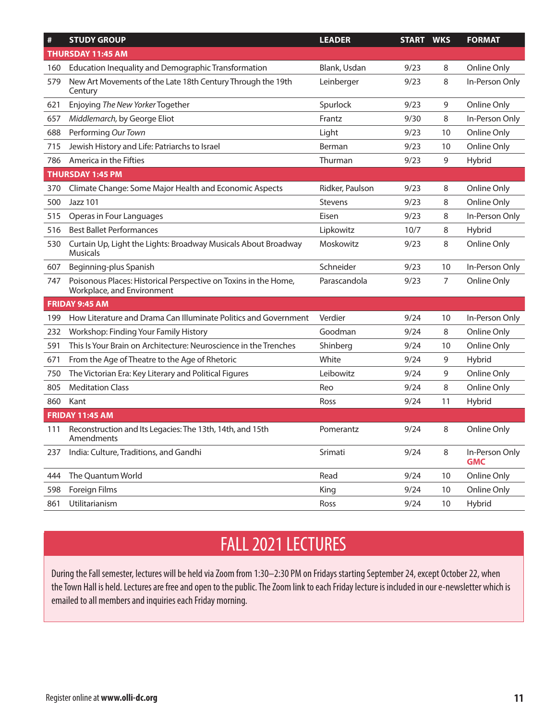| #   | <b>STUDY GROUP</b>                                                                            | <b>LEADER</b>   | <b>START WKS</b> |                | <b>FORMAT</b>                |
|-----|-----------------------------------------------------------------------------------------------|-----------------|------------------|----------------|------------------------------|
|     | <b>THURSDAY 11:45 AM</b>                                                                      |                 |                  |                |                              |
| 160 | Education Inequality and Demographic Transformation                                           | Blank, Usdan    | 9/23             | 8              | Online Only                  |
| 579 | New Art Movements of the Late 18th Century Through the 19th<br>Century                        | Leinberger      | 9/23             | 8              | In-Person Only               |
| 621 | Enjoying The New Yorker Together                                                              | Spurlock        | 9/23             | 9              | Online Only                  |
| 657 | Middlemarch, by George Eliot                                                                  | Frantz          | 9/30             | 8              | In-Person Only               |
| 688 | Performing Our Town                                                                           | Light           | 9/23             | 10             | Online Only                  |
| 715 | Jewish History and Life: Patriarchs to Israel                                                 | Berman          | 9/23             | 10             | Online Only                  |
| 786 | America in the Fifties                                                                        | Thurman         | 9/23             | 9              | Hybrid                       |
|     | <b>THURSDAY 1:45 PM</b>                                                                       |                 |                  |                |                              |
| 370 | Climate Change: Some Major Health and Economic Aspects                                        | Ridker, Paulson | 9/23             | 8              | Online Only                  |
| 500 | Jazz 101                                                                                      | <b>Stevens</b>  | 9/23             | 8              | Online Only                  |
| 515 | Operas in Four Languages                                                                      | Eisen           | 9/23             | 8              | In-Person Only               |
| 516 | <b>Best Ballet Performances</b>                                                               | Lipkowitz       | 10/7             | 8              | Hybrid                       |
| 530 | Curtain Up, Light the Lights: Broadway Musicals About Broadway<br><b>Musicals</b>             | Moskowitz       | 9/23             | 8              | Online Only                  |
| 607 | Beginning-plus Spanish                                                                        | Schneider       | 9/23             | 10             | In-Person Only               |
| 747 | Poisonous Places: Historical Perspective on Toxins in the Home,<br>Workplace, and Environment | Parascandola    | 9/23             | $\overline{7}$ | Online Only                  |
|     | <b>FRIDAY 9:45 AM</b>                                                                         |                 |                  |                |                              |
| 199 | How Literature and Drama Can Illuminate Politics and Government                               | Verdier         | 9/24             | 10             | In-Person Only               |
| 232 | Workshop: Finding Your Family History                                                         | Goodman         | 9/24             | 8              | Online Only                  |
| 591 | This Is Your Brain on Architecture: Neuroscience in the Trenches                              | Shinberg        | 9/24             | 10             | Online Only                  |
| 671 | From the Age of Theatre to the Age of Rhetoric                                                | White           | 9/24             | 9              | Hybrid                       |
| 750 | The Victorian Era: Key Literary and Political Figures                                         | Leibowitz       | 9/24             | 9              | Online Only                  |
| 805 | <b>Meditation Class</b>                                                                       | Reo             | 9/24             | 8              | Online Only                  |
| 860 | Kant                                                                                          | Ross            | 9/24             | 11             | Hybrid                       |
|     | <b>FRIDAY 11:45 AM</b>                                                                        |                 |                  |                |                              |
| 111 | Reconstruction and Its Legacies: The 13th, 14th, and 15th<br>Amendments                       | Pomerantz       | 9/24             | 8              | Online Only                  |
| 237 | India: Culture, Traditions, and Gandhi                                                        | Srimati         | 9/24             | 8              | In-Person Only<br><b>GMC</b> |
| 444 | The Quantum World                                                                             | Read            | 9/24             | 10             | Online Only                  |
| 598 | Foreign Films                                                                                 | King            | 9/24             | 10             | Online Only                  |
| 861 | Utilitarianism                                                                                | Ross            | 9/24             | 10             | Hybrid                       |

## FALL 2021 LECTURES

During the Fall semester, lectures will be held via Zoom from 1:30–2:30 PM on Fridays starting September 24, except October 22, when the Town Hall is held. Lectures are free and open to the public. The Zoom link to each Friday lecture is included in our e-newsletter which is emailed to all members and inquiries each Friday morning.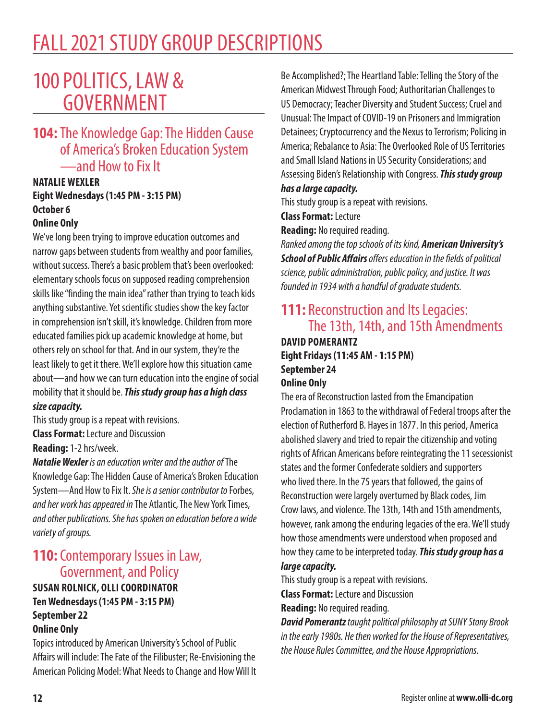## FALL 2021 STUDY GROUP DESCRIPTIONS

## 100 POLITICS, LAW & GOVERNMENT

## **104:** The Knowledge Gap: The Hidden Cause of America's Broken Education System —and How to Fix It

#### **NATALIE WEXLER Eight Wednesdays (1:45 PM - 3:15 PM) October 6 Online Only**

We've long been trying to improve education outcomes and narrow gaps between students from wealthy and poor families, without success. There's a basic problem that's been overlooked: elementary schools focus on supposed reading comprehension skills like "finding the main idea" rather than trying to teach kids anything substantive. Yet scientific studies show the key factor in comprehension isn't skill, it's knowledge. Children from more educated families pick up academic knowledge at home, but others rely on school for that. And in our system, they're the least likely to get it there. We'll explore how this situation came about—and how we can turn education into the engine of social mobility that it should be. *This study group has a high class size capacity.*

This study group is a repeat with revisions.

**Class Format:** Lecture and Discussion

**Reading:** 1-2 hrs/week.

*Natalie Wexler is an education writer and the author of* The Knowledge Gap: The Hidden Cause of America's Broken Education System—And How to Fix It. *She is a senior contributor to* Forbes, *and her work has appeared in* The Atlantic, The New York Times, *and other publications. She has spoken on education before a wide variety of groups.*

## **110:** Contemporary Issues in Law, Government, and Policy

#### **SUSAN ROLNICK, OLLI COORDINATOR Ten Wednesdays (1:45 PM - 3:15 PM) September 22 Online Only**

Topics introduced by American University's School of Public Affairs will include: The Fate of the Filibuster; Re-Envisioning the American Policing Model: What Needs to Change and How Will It

Be Accomplished?; The Heartland Table: Telling the Story of the American Midwest Through Food; Authoritarian Challenges to US Democracy; Teacher Diversity and Student Success; Cruel and Unusual: The Impact of COVID-19 on Prisoners and Immigration Detainees; Cryptocurrency and the Nexus to Terrorism; Policing in America; Rebalance to Asia: The Overlooked Role of US Territories and Small Island Nations in US Security Considerations; and Assessing Biden's Relationship with Congress. *This study group has a large capacity.*

This study group is a repeat with revisions.

**Class Format:** Lecture

**Reading:** No required reading.

*Ranked amongthe top schools of its kind, American University's School of Public Affairs offers education in the fields of political science, public administration, public policy, and justice. It was founded in 1934 with a handful of graduate students.*

## **111:** Reconstruction and Its Legacies: The 13th, 14th, and 15th Amendments **DAVID POMERANTZ**

**Eight Fridays (11:45 AM - 1:15 PM) September 24**

### **Online Only**

The era of Reconstruction lasted from the Emancipation Proclamation in 1863 to the withdrawal of Federal troops after the election of Rutherford B. Hayes in 1877. In this period, America abolished slavery and tried to repair the citizenship and voting rights of African Americans before reintegrating the 11 secessionist states and the former Confederate soldiers and supporters who lived there. In the 75 years that followed, the gains of Reconstruction were largely overturned by Black codes, Jim Crow laws, and violence. The 13th, 14th and 15th amendments, however, rank among the enduring legacies of the era. We'll study how those amendments were understood when proposed and how they came to be interpreted today. *This study group has a large capacity.*

This study group is a repeat with revisions.

**Class Format:** Lecture and Discussion

**Reading:** No required reading.

*David Pomerantz taught political philosophy at SUNY Stony Brook in the early 1980s. He then worked for the House of Representatives, the House Rules Committee, and the House Appropriations.*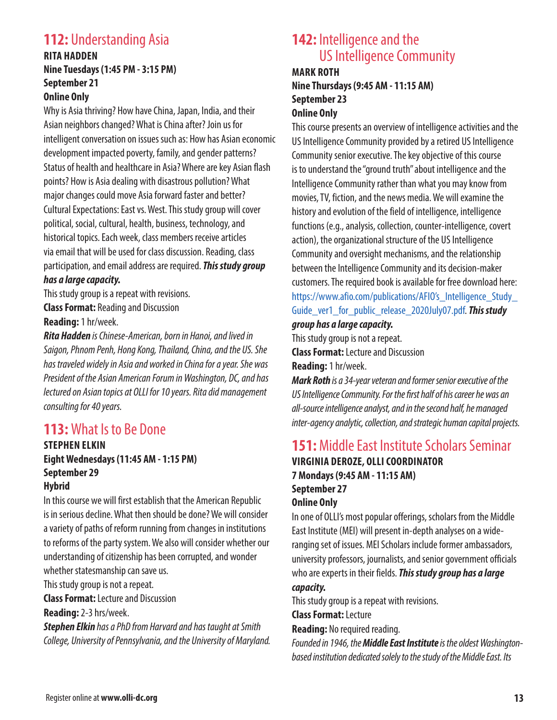## **112:** Understanding Asia

#### **RITA HADDEN Nine Tuesdays (1:45 PM - 3:15 PM) September 21 Online Only**

Why is Asia thriving? How have China, Japan, India, and their Asian neighbors changed? What is China after? Join us for intelligent conversation on issues such as: How has Asian economic development impacted poverty, family, and gender patterns? Status of health and healthcare in Asia? Where are key Asian flash points? How is Asia dealing with disastrous pollution? What major changes could move Asia forward faster and better? Cultural Expectations: East vs. West. This study group will cover political, social, cultural, health, business, technology, and historical topics. Each week, class members receive articles via email that will be used for class discussion. Reading, class participation, and email address are required. *This study group* 

#### *has a large capacity.*

This study group is a repeat with revisions. **Class Format:** Reading and Discussion **Reading:** 1 hr/week.

*Rita Hadden is Chinese-American, born in Hanoi, and lived in Saigon, Phnom Penh, Hong Kong, Thailand, China, and the US. She has traveled widely in Asia and worked in China for a year. She was President of the Asian American Forum in Washington, DC, and has lectured on Asian topics at OLLI for 10 years. Rita did management consulting for 40 years.*

## **113:** What Is to Be Done

## **STEPHEN ELKIN Eight Wednesdays (11:45 AM - 1:15 PM) September 29**

#### **Hybrid**

In this course we will first establish that the American Republic is in serious decline. What then should be done? We will consider a variety of paths of reform running from changes in institutions to reforms of the party system. We also will consider whether our understanding of citizenship has been corrupted, and wonder whether statesmanship can save us.

This study group is not a repeat.

**Class Format:** Lecture and Discussion

**Reading:** 2-3 hrs/week.

*Stephen Elkin has a PhD from Harvard and has taught at Smith College, University of Pennsylvania, and the University of Maryland.*

## **142:** Intelligence and the US Intelligence Community

#### **MARK ROTH Nine Thursdays (9:45 AM - 11:15 AM) September 23 Online Only**

This course presents an overview of intelligence activities and the US Intelligence Community provided by a retired US Intelligence Community senior executive. The key objective of this course is to understand the "ground truth" about intelligence and the Intelligence Community rather than what you may know from movies, TV, fiction, and the news media. We will examine the history and evolution of the field of intelligence, intelligence functions (e.g., analysis, collection, counter-intelligence, covert action), the organizational structure of the US Intelligence Community and oversight mechanisms, and the relationship between the Intelligence Community and its decision-maker customers. The required book is available for free download here: https://www.afio.com/publications/AFIO's Intelligence Study Guide\_ver1\_for\_public\_release\_2020July07.pdf. *This study group has a large capacity.*

This study group is not a repeat.

**Class Format:** Lecture and Discussion

**Reading:** 1 hr/week.

*Mark Roth is a 34-year veteran and former senior executive of the US Intelligence Community. For the first half of his career he was an all-source intelligence analyst, and in the second half, he managed inter-agency analytic, collection, and strategic human capital projects.*

## **151:** Middle East Institute Scholars Seminar

**VIRGINIA DEROZE, OLLI COORDINATOR 7 Mondays (9:45 AM - 11:15 AM) September 27 Online Only**

In one of OLLI's most popular offerings, scholars from the Middle East Institute (MEI) will present in-depth analyses on a wideranging set of issues. MEI Scholars include former ambassadors, university professors, journalists, and senior government officials who are experts in their fields. *This study group has a large* 

#### *capacity.*

This study group is a repeat with revisions.

**Class Format:** Lecture

**Reading:** No required reading.

*Founded in 1946, the Middle East Institute is the oldest Washingtonbased institution dedicated solely to the study of the Middle East. Its*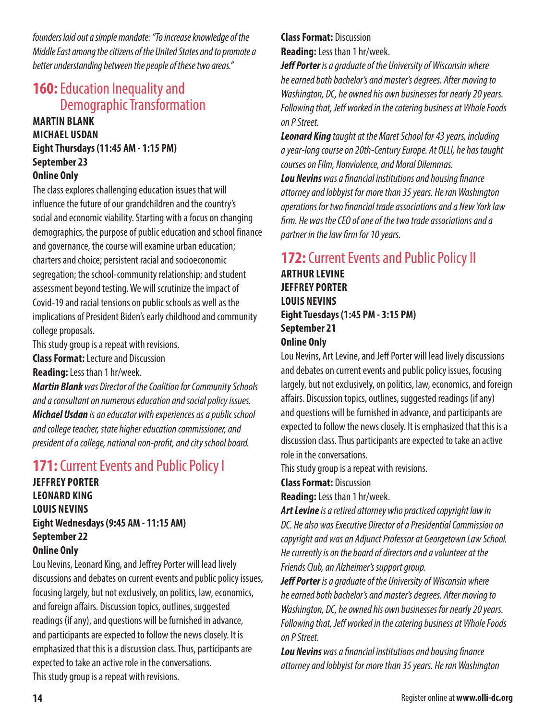*founders laid out a simple mandate: "To increase knowledge of the Middle East among the citizens of the United States and to promote a better understanding between the people of these two areas."*

## **160: Education Inequality and** Demographic Transformation

#### **MARTIN BLANK MICHAEL USDAN Eight Thursdays (11:45 AM - 1:15 PM) September 23 Online Only**

The class explores challenging education issues that will influence the future of our grandchildren and the country's social and economic viability. Starting with a focus on changing demographics, the purpose of public education and school finance and governance, the course will examine urban education; charters and choice; persistent racial and socioeconomic segregation; the school-community relationship; and student assessment beyond testing. We will scrutinize the impact of Covid-19 and racial tensions on public schools as well as the implications of President Biden's early childhood and community college proposals.

This study group is a repeat with revisions.

**Class Format:** Lecture and Discussion

**Reading:** Less than 1 hr/week.

*Martin Blank was Director of the Coalition for Community Schools and a consultant on numerous education and social policy issues. Michael Usdan is an educator with experiences as a public school and college teacher, state higher education commissioner, and president of a college, national non-profit, and city school board.*

## **171:** Current Events and Public Policy I

**JEFFREY PORTER LEONARD KING LOUIS NEVINS Eight Wednesdays (9:45 AM - 11:15 AM) September 22 Online Only**

Lou Nevins, Leonard King, and Jeffrey Porter will lead lively discussions and debates on current events and public policy issues, focusing largely, but not exclusively, on politics, law, economics, and foreign affairs. Discussion topics, outlines, suggested readings (if any), and questions will be furnished in advance, and participants are expected to follow the news closely. It is emphasized that this is a discussion class. Thus, participants are expected to take an active role in the conversations. This study group is a repeat with revisions.

#### **Class Format:** Discussion **Reading:** Less than 1 hr/week.

*Jeff Porter is a graduate of the University of Wisconsin where he earned both bachelor's and master's degrees. After moving to Washington, DC, he owned his own businesses for nearly 20 years. Following that, Jeff worked in the catering business at Whole Foods on P Street.*

*Leonard King taught at the Maret School for 43 years, including a year-long course on 20th-Century Europe. At OLLI, he has taught courses on Film, Nonviolence, and Moral Dilemmas. Lou Nevins was a financial institutions and housing finance attorney and lobbyist for more than 35 years. He ran Washington operations for two financial trade associations and a New York law firm. He was the CEO of one of the two trade associations and a partner in the law firm for 10 years.*

## **172:** Current Events and Public Policy II

**ARTHUR LEVINE JEFFREY PORTER LOUIS NEVINS Eight Tuesdays (1:45 PM - 3:15 PM) September 21 Online Only**

Lou Nevins, Art Levine, and Jeff Porter will lead lively discussions and debates on current events and public policy issues, focusing largely, but not exclusively, on politics, law, economics, and foreign affairs. Discussion topics, outlines, suggested readings (if any) and questions will be furnished in advance, and participants are expected to follow the news closely. It is emphasized that this is a discussion class. Thus participants are expected to take an active role in the conversations.

This study group is a repeat with revisions.

**Class Format:** Discussion

**Reading:** Less than 1 hr/week.

*Art Levine is a retired attorney who practiced copyright law in DC. He also was Executive Director of a Presidential Commission on copyright and was an Adjunct Professor at Georgetown Law School. He currently is on the board of directors and a volunteer at the Friends Club, an Alzheimer's support group.*

*Jeff Porter is a graduate of the University of Wisconsin where he earned both bachelor's and master's degrees. After moving to Washington, DC, he owned his own businesses for nearly 20 years. Following that, Jeff worked in the catering business at Whole Foods on P Street.*

*Lou Nevins was a financial institutions and housing finance attorney and lobbyist for more than 35 years. He ran Washington*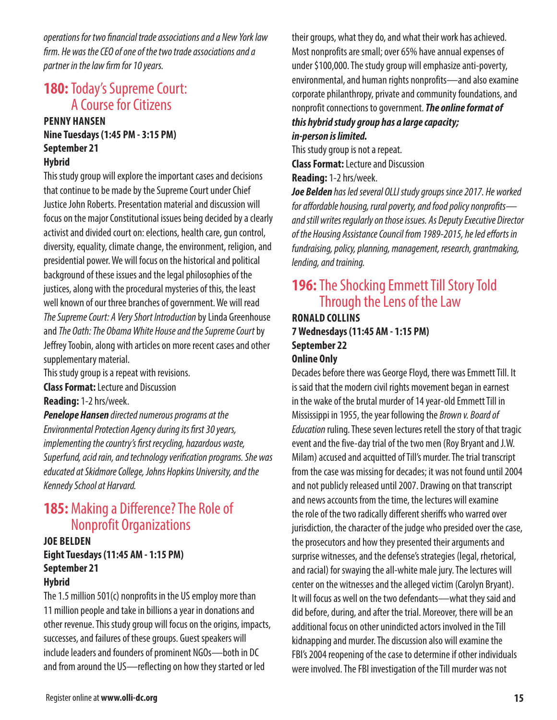*operations for two financial trade associations and a New York law firm. He was the CEO of one of the two trade associations and a partner in the law firm for 10 years.*

## **180: Today's Supreme Court:** A Course for Citizens

#### **PENNY HANSEN Nine Tuesdays (1:45 PM - 3:15 PM) September 21 Hybrid**

This study group will explore the important cases and decisions that continue to be made by the Supreme Court under Chief Justice John Roberts. Presentation material and discussion will focus on the major Constitutional issues being decided by a clearly activist and divided court on: elections, health care, gun control, diversity, equality, climate change, the environment, religion, and presidential power. We will focus on the historical and political background of these issues and the legal philosophies of the justices, along with the procedural mysteries of this, the least well known of our three branches of government. We will read *The Supreme Court: A Very Short Introduction* by Linda Greenhouse and *The Oath: The Obama White House and the Supreme Court* by Jeffrey Toobin, along with articles on more recent cases and other supplementary material.

This study group is a repeat with revisions.

**Class Format:** Lecture and Discussion

**Reading:** 1-2 hrs/week.

*Penelope Hansen directed numerous programs at the Environmental Protection Agency during its first 30 years, implementing the country's first recycling, hazardous waste, Superfund, acid rain, and technology verification programs. She was educated at Skidmore College, Johns Hopkins University, and the Kennedy School at Harvard.*

## **185:** Making a Difference? The Role of Nonprofit Organizations

#### **JOE BELDEN Eight Tuesdays (11:45 AM - 1:15 PM) September 21 Hybrid**

The 1.5 million 501(c) nonprofits in the US employ more than 11 million people and take in billions a year in donations and other revenue. This study group will focus on the origins, impacts, successes, and failures of these groups. Guest speakers will include leaders and founders of prominent NGOs—both in DC and from around the US—reflecting on how they started or led

their groups, what they do, and what their work has achieved. Most nonprofits are small; over 65% have annual expenses of under \$100,000. The study group will emphasize anti-poverty, environmental, and human rights nonprofits—and also examine corporate philanthropy, private and community foundations, and nonprofit connections to government. *The online format of this hybrid study group has a large capacity;* 

## *in-person is limited.*

This study group is not a repeat. **Class Format:** Lecture and Discussion

**Reading:** 1-2 hrs/week.

*Joe Belden has led several OLLI study groups since 2017. He worked for affordable housing, rural poverty, and food policy nonprofits and still writes regularly on those issues. As Deputy Executive Director of the Housing Assistance Council from 1989-2015, he led efforts in fundraising, policy, planning, management, research, grantmaking, lending, and training.*

## **196:** The Shocking Emmett Till Story Told Through the Lens of the Law

#### **RONALD COLLINS 7 Wednesdays (11:45 AM - 1:15 PM) September 22 Online Only**

Decades before there was George Floyd, there was Emmett Till. It is said that the modern civil rights movement began in earnest in the wake of the brutal murder of 14 year-old Emmett Till in Mississippi in 1955, the year following the *Brown v. Board of Education* ruling. These seven lectures retell the story of that tragic event and the five-day trial of the two men (Roy Bryant and J.W. Milam) accused and acquitted of Till's murder. The trial transcript from the case was missing for decades; it was not found until 2004 and not publicly released until 2007. Drawing on that transcript and news accounts from the time, the lectures will examine the role of the two radically different sheriffs who warred over jurisdiction, the character of the judge who presided over the case, the prosecutors and how they presented their arguments and surprise witnesses, and the defense's strategies (legal, rhetorical, and racial) for swaying the all-white male jury. The lectures will center on the witnesses and the alleged victim (Carolyn Bryant). It will focus as well on the two defendants—what they said and did before, during, and after the trial. Moreover, there will be an additional focus on other unindicted actors involved in the Till kidnapping and murder. The discussion also will examine the FBI's 2004 reopening of the case to determine if other individuals were involved. The FBI investigation of the Till murder was not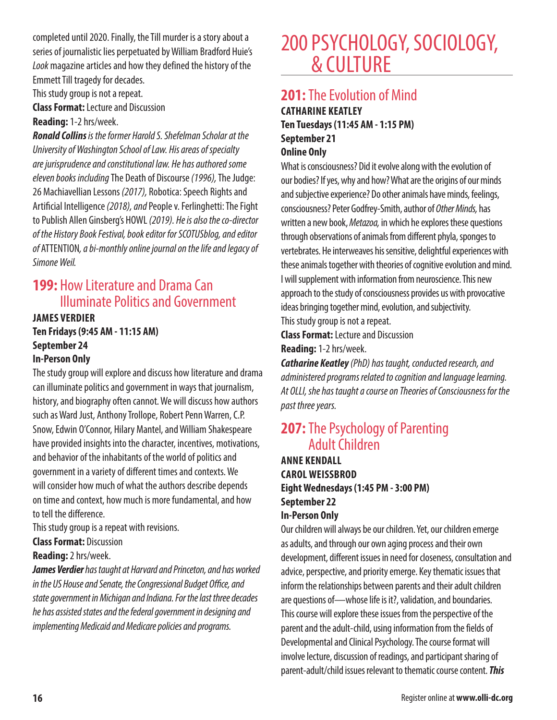completed until 2020. Finally, the Till murder is a story about a series of journalistic lies perpetuated by William Bradford Huie's *Look* magazine articles and how they defined the history of the Emmett Till tragedy for decades.

This study group is not a repeat.

**Class Format:** Lecture and Discussion

### **Reading:** 1-2 hrs/week.

*Ronald Collins is the former Harold S. Shefelman Scholar at the University of Washington School of Law. His areas of specialty are jurisprudence and constitutional law. He has authored some eleven books including* The Death of Discourse *(1996),* The Judge: 26 Machiavellian Lessons *(2017),* Robotica: Speech Rights and Artificial Intelligence *(2018), and* People v. Ferlinghetti: The Fight to Publish Allen Ginsberg's HOWL *(2019). He is also the co-director of the History Book Festival, book editor for SCOTUSblog, and editor of* ATTENTION*, a bi-monthly online journal on the life and legacy of Simone Weil.* 

## **199:** How Literature and Drama Can Illuminate Politics and Government

**JAMES VERDIER Ten Fridays (9:45 AM - 11:15 AM) September 24**

#### **In-Person Only**

The study group will explore and discuss how literature and drama can illuminate politics and government in ways that journalism, history, and biography often cannot. We will discuss how authors such as Ward Just, Anthony Trollope, Robert Penn Warren, C.P. Snow, Edwin O'Connor, Hilary Mantel, and William Shakespeare have provided insights into the character, incentives, motivations, and behavior of the inhabitants of the world of politics and government in a variety of different times and contexts. We will consider how much of what the authors describe depends on time and context, how much is more fundamental, and how to tell the difference.

This study group is a repeat with revisions.

#### **Class Format:** Discussion

#### **Reading:** 2 hrs/week.

*James Verdier has taught at Harvard and Princeton, and has worked in the US House and Senate, the Congressional Budget Office, and state government in Michigan and Indiana. For the last three decades he has assisted states and the federal government in designing and implementing Medicaid and Medicare policies and programs.*

## 200 PSYCHOLOGY, SOCIOLOGY, & CULTURE

## **201:** The Evolution of Mind

**CATHARINE KEATLEY Ten Tuesdays (11:45 AM - 1:15 PM) September 21 Online Only**

What is consciousness? Did it evolve along with the evolution of our bodies? If yes, why and how? What are the origins of our minds and subjective experience? Do other animals have minds, feelings, consciousness? Peter Godfrey-Smith, author of *Other Minds,* has written a new book, *Metazoa,* in which he explores these questions through observations of animals from different phyla, sponges to vertebrates. He interweaves his sensitive, delightful experiences with these animals together with theories of cognitive evolution and mind. I will supplement with information from neuroscience. This new approach to the study of consciousness provides us with provocative ideas bringing together mind, evolution, and subjectivity. This study group is not a repeat.

**Class Format:** Lecture and Discussion **Reading:** 1-2 hrs/week.

*Catharine Keatley (PhD) has taught, conducted research, and administered programs related to cognition and language learning. At OLLI, she has taught a course on Theories of Consciousness for the past three years.*

## **207:** The Psychology of Parenting Adult Children

**ANNE KENDALL CAROL WEISSBROD Eight Wednesdays (1:45 PM - 3:00 PM) September 22 In-Person Only**

Our children will always be our children. Yet, our children emerge as adults, and through our own aging process and their own development, different issues in need for closeness, consultation and advice, perspective, and priority emerge. Key thematic issues that inform the relationships between parents and their adult children are questions of—whose life is it?, validation, and boundaries. This course will explore these issues from the perspective of the parent and the adult-child, using information from the fields of Developmental and Clinical Psychology. The course format will involve lecture, discussion of readings, and participant sharing of parent-adult/child issues relevant to thematic course content. *This*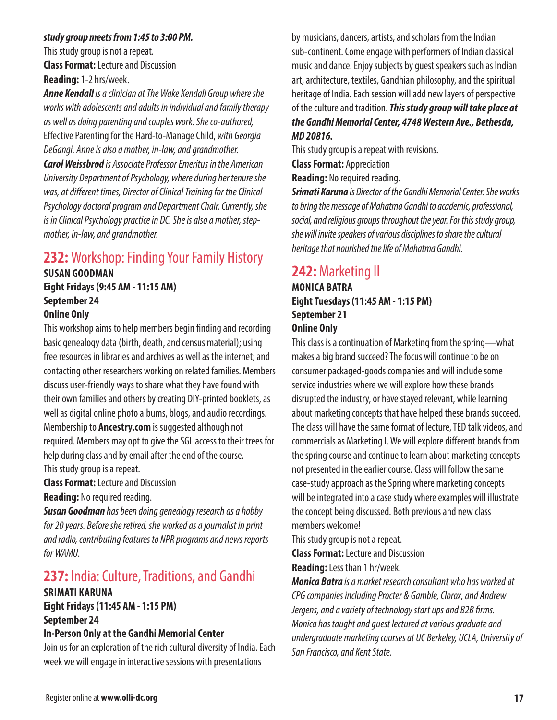#### *study group meets from 1:45 to 3:00 PM.*

This study group is not a repeat. **Class Format:** Lecture and Discussion **Reading:** 1-2 hrs/week.

*Anne Kendall is a clinician at The Wake Kendall Group where she works with adolescents and adults in individual and family therapy as well as doing parenting and couples work. She co-authored,*  Effective Parenting for the Hard-to-Manage Child, *with Georgia DeGangi. Anne is also a mother, in-law, and grandmother.*

*Carol Weissbrod is Associate Professor Emeritus in the American University Department of Psychology, where during her tenure she was, at different times, Director of Clinical Training for the Clinical Psychology doctoral program and Department Chair. Currently, she is in Clinical Psychology practice in DC. She is also a mother, stepmother, in-law, and grandmother.*

## **232:** Workshop: Finding Your Family History

## **SUSAN GOODMAN Eight Fridays (9:45 AM - 11:15 AM) September 24**

#### **Online Only**

This workshop aims to help members begin finding and recording basic genealogy data (birth, death, and census material); using free resources in libraries and archives as well as the internet; and contacting other researchers working on related families. Members discuss user-friendly ways to share what they have found with their own families and others by creating DIY-printed booklets, as well as digital online photo albums, blogs, and audio recordings. Membership to **Ancestry.com** is suggested although not required. Members may opt to give the SGL access to their trees for help during class and by email after the end of the course. This study group is a repeat.

**Class Format:** Lecture and Discussion

**Reading:** No required reading.

*Susan Goodman has been doing genealogy research as a hobby for 20 years. Before she retired, she worked as a journalist in print and radio, contributing features to NPR programs and news reports for WAMU.*

## **237:** India: Culture, Traditions, and Gandhi

#### **SRIMATI KARUNA Eight Fridays (11:45 AM - 1:15 PM) September 24**

#### **In-Person Only at the Gandhi Memorial Center**

Join us for an exploration of the rich cultural diversity of India. Each week we will engage in interactive sessions with presentations

by musicians, dancers, artists, and scholars from the Indian sub-continent. Come engage with performers of Indian classical music and dance. Enjoy subjects by guest speakers such as Indian art, architecture, textiles, Gandhian philosophy, and the spiritual heritage of India. Each session will add new layers of perspective of the culture and tradition. *This study group will take place at the Gandhi Memorial Center, 4748 Western Ave., Bethesda, MD 20816.*

This study group is a repeat with revisions.

**Class Format:** Appreciation

**Reading:** No required reading.

*Srimati Karuna is Director of the Gandhi Memorial Center. She works to bring the message of Mahatma Gandhi to academic, professional, social, and religious groups throughout the year. For this study group, she will invite speakers of various disciplines to share the cultural heritage that nourished the life of Mahatma Gandhi.*

## **242:** Marketing II

#### **MONICA BATRA Eight Tuesdays (11:45 AM - 1:15 PM) September 21 Online Only**

This class is a continuation of Marketing from the spring—what makes a big brand succeed? The focus will continue to be on consumer packaged-goods companies and will include some service industries where we will explore how these brands disrupted the industry, or have stayed relevant, while learning about marketing concepts that have helped these brands succeed. The class will have the same format of lecture, TED talk videos, and commercials as Marketing I. We will explore different brands from the spring course and continue to learn about marketing concepts not presented in the earlier course. Class will follow the same case-study approach as the Spring where marketing concepts will be integrated into a case study where examples will illustrate the concept being discussed. Both previous and new class members welcome!

This study group is not a repeat.

**Class Format:** Lecture and Discussion

**Reading:** Less than 1 hr/week.

*Monica Batra is a market research consultant who has worked at CPG companies including Procter & Gamble, Clorox, and Andrew Jergens, and a variety of technology start ups and B2B firms. Monica has taught and guest lectured at various graduate and undergraduate marketing courses at UC Berkeley, UCLA, University of San Francisco, and Kent State.*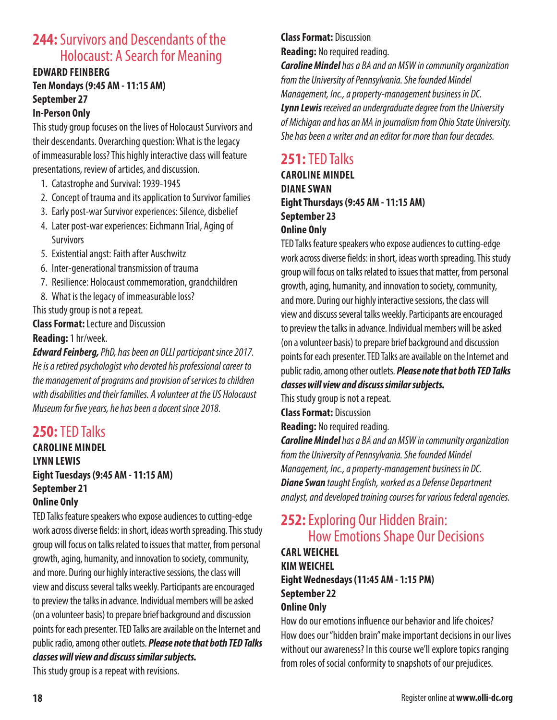## **244:** Survivors and Descendants of the Holocaust: A Search for Meaning

#### **EDWARD FEINBERG Ten Mondays (9:45 AM - 11:15 AM) September 27 In-Person Only**

This study group focuses on the lives of Holocaust Survivors and their descendants. Overarching question: What is the legacy of immeasurable loss? This highly interactive class will feature presentations, review of articles, and discussion.

- 1. Catastrophe and Survival: 1939-1945
- 2. Concept of trauma and its application to Survivor families
- 3. Early post-war Survivor experiences: Silence, disbelief
- 4. Later post-war experiences: Eichmann Trial, Aging of **Survivors**
- 5. Existential angst: Faith after Auschwitz
- 6. Inter-generational transmission of trauma
- 7. Resilience: Holocaust commemoration, grandchildren
- 8. What is the legacy of immeasurable loss?

This study group is not a repeat.

**Class Format:** Lecture and Discussion **Reading:** 1 hr/week.

*Edward Feinberg, PhD, has been an OLLI participant since 2017. He is a retired psychologist who devoted his professional career to the management of programs and provision of services to children with disabilities and their families. A volunteer at the US Holocaust Museum for five years, he has been a docent since 2018.*

## **250:** TED Talks

#### **CAROLINE MINDEL LYNN LEWIS Eight Tuesdays (9:45 AM - 11:15 AM) September 21 Online Only**

TED Talks feature speakers who expose audiences to cutting-edge work across diverse fields: in short, ideas worth spreading. This study group will focus on talks related to issues that matter, from personal growth, aging, humanity, and innovation to society, community, and more. During our highly interactive sessions, the class will view and discuss several talks weekly. Participants are encouraged to preview the talks in advance. Individual members will be asked (on a volunteer basis) to prepare brief background and discussion points for each presenter. TED Talks are available on the Internet and public radio, among other outlets. *Please note that both TED Talks classes will view and discuss similar subjects.* 

This study group is a repeat with revisions.

#### **Class Format:** Discussion **Reading:** No required reading.

*Caroline Mindel has a BA and an MSW in community organization from the University of Pennsylvania. She founded Mindel Management, Inc., a property-management business in DC. Lynn Lewis received an undergraduate degree from the University of Michigan and has an MA in journalism from Ohio State University. She has been a writer and an editor for more than four decades.*

## **251:** TED Talks

#### **CAROLINE MINDEL DIANE SWAN Eight Thursdays (9:45 AM - 11:15 AM) September 23 Online Only**

TED Talks feature speakers who expose audiences to cutting-edge work across diverse fields: in short, ideas worth spreading. This study group will focus on talks related to issues that matter, from personal growth, aging, humanity, and innovation to society, community, and more. During our highly interactive sessions, the class will view and discuss several talks weekly. Participants are encouraged to preview the talks in advance. Individual members will be asked (on a volunteer basis) to prepare brief background and discussion points for each presenter. TED Talks are available on the Internet and public radio, among other outlets. *Please note that both TED Talks* 

*classes will view and discuss similar subjects.* 

This study group is not a repeat.

**Class Format:** Discussion

**Reading:** No required reading.

*Caroline Mindel has a BA and an MSW in community organization from the University of Pennsylvania. She founded Mindel Management, Inc., a property-management business in DC. Diane Swan taught English, worked as a Defense Department analyst, and developed training courses for various federal agencies.*

## **252:** Exploring Our Hidden Brain: How Emotions Shape Our Decisions

### **CARL WEICHEL KIM WEICHEL Eight Wednesdays (11:45 AM - 1:15 PM) September 22 Online Only**

How do our emotions influence our behavior and life choices? How does our "hidden brain" make important decisions in our lives without our awareness? In this course we'll explore topics ranging from roles of social conformity to snapshots of our prejudices.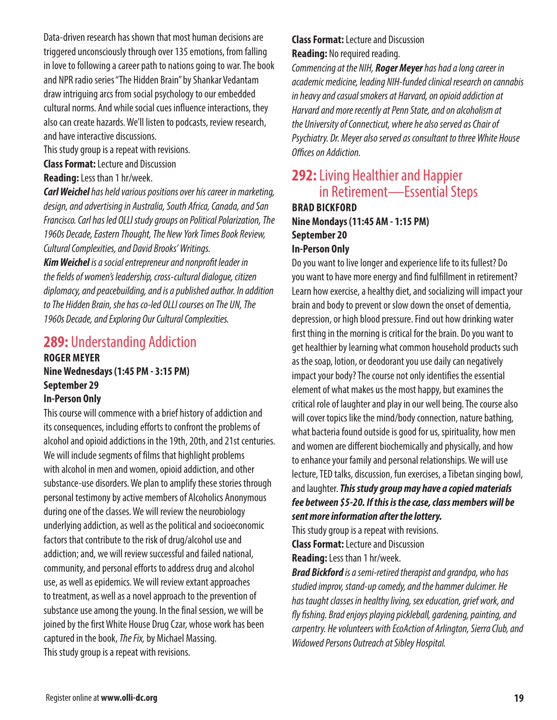Data-driven research has shown that most human decisions are triggered unconsciously through over 135 emotions, from falling in love to following a career path to nations going to war. The book and NPR radio series "The Hidden Brain" by Shankar Vedantam draw intriguing arcs from social psychology to our embedded cultural norms. And while social cues influence interactions, they also can create hazards. We'll listen to podcasts, review research, and have interactive discussions.

This study group is a repeat with revisions.

**Class Format:** Lecture and Discussion

**Reading:** Less than 1 hr/week.

*Carl Weichel has held various positions over his career in marketing, design, and advertising in Australia, South Africa, Canada, and San Francisco. Carl has led OLLI study groups on Political Polarization, The 1960s Decade, Eastern Thought, The New York Times Book Review, Cultural Complexities, and David Brooks' Writings.*

*Kim Weichel is a social entrepreneur and nonprofit leader in the fields of women's leadership, cross-cultural dialogue, citizen diplomacy, and peacebuilding, and is a published author. In addition to The Hidden Brain, she has co-led OLLI courses on The UN, The 1960s Decade, and Exploring Our Cultural Complexities.*

## **289:** Understanding Addiction

## **ROGER MEYER Nine Wednesdays (1:45 PM - 3:15 PM) September 29**

#### **In-Person Only**

This course will commence with a brief history of addiction and its consequences, including efforts to confront the problems of alcohol and opioid addictions in the 19th, 20th, and 21st centuries. We will include segments of films that highlight problems with alcohol in men and women, opioid addiction, and other substance-use disorders. We plan to amplify these stories through personal testimony by active members of Alcoholics Anonymous during one of the classes. We will review the neurobiology underlying addiction, as well as the political and socioeconomic factors that contribute to the risk of drug/alcohol use and addiction; and, we will review successful and failed national, community, and personal efforts to address drug and alcohol use, as well as epidemics. We will review extant approaches to treatment, as well as a novel approach to the prevention of substance use among the young. In the final session, we will be joined by the first White House Drug Czar, whose work has been captured in the book, *The Fix,* by Michael Massing. This study group is a repeat with revisions.

#### **Class Format:** Lecture and Discussion **Reading:** No required reading.

*Commencing at the NIH, Roger Meyer has had a long career in academic medicine, leading NIH-funded clinical research on cannabis in heavy and casual smokers at Harvard, on opioid addiction at Harvard and more recently at Penn State, and on alcoholism at the University of Connecticut, where he also served as Chair of Psychiatry. Dr. Meyer also served as consultant to three White House Offices on Addiction.*

## **292:** Living Healthier and Happier in Retirement—Essential Steps **BRAD BICKFORD**

## **Nine Mondays (11:45 AM - 1:15 PM) September 20 In-Person Only**

Do you want to live longer and experience life to its fullest? Do you want to have more energy and find fulfillment in retirement? Learn how exercise, a healthy diet, and socializing will impact your brain and body to prevent or slow down the onset of dementia, depression, or high blood pressure. Find out how drinking water first thing in the morning is critical for the brain. Do you want to get healthier by learning what common household products such as the soap, lotion, or deodorant you use daily can negatively impact your body? The course not only identifies the essential element of what makes us the most happy, but examines the critical role of laughter and play in our well being. The course also will cover topics like the mind/body connection, nature bathing, what bacteria found outside is good for us, spirituality, how men and women are different biochemically and physically, and how to enhance your family and personal relationships. We will use lecture, TED talks, discussion, fun exercises, a Tibetan singing bowl, and laughter. *This study group may have a copied materials fee between \$5-20. If this is the case, class members will be sent more information after the lottery.*

This study group is a repeat with revisions. **Class Format:** Lecture and Discussion

**Reading:** Less than 1 hr/week.

*Brad Bickford is a semi-retired therapist and grandpa, who has studied improv, stand-up comedy, and the hammer dulcimer. He has taught classes in healthy living, sex education, grief work, and fly fishing. Brad enjoys playing pickleball, gardening, painting, and carpentry. He volunteers with EcoAction of Arlington, Sierra Club, and Widowed Persons Outreach at Sibley Hospital.*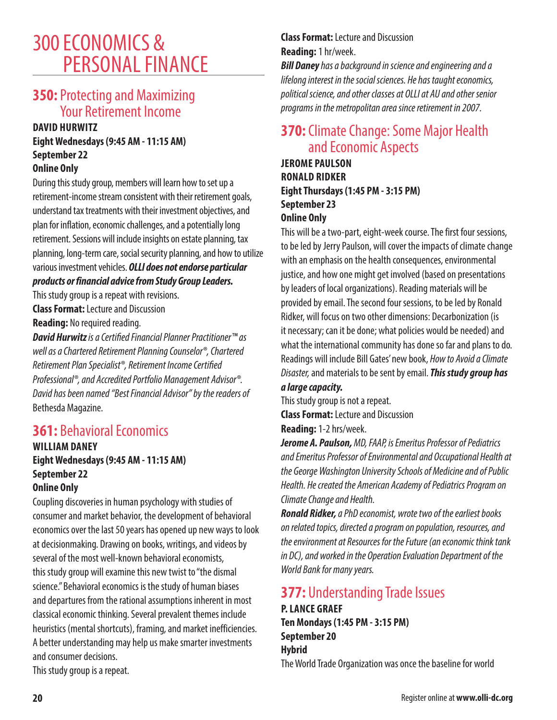## 300 ECONOMICS & PERSONAL FINANCE

## **350:** Protecting and Maximizing Your Retirement Income

#### **DAVID HURWITZ**

## **Eight Wednesdays (9:45 AM - 11:15 AM) September 22**

#### **Online Only**

During this study group, members will learn how to set up a retirement-income stream consistent with their retirement goals, understand tax treatments with their investment objectives, and plan for inflation, economic challenges, and a potentially long retirement. Sessions will include insights on estate planning, tax planning, long-term care, social security planning, and how to utilize various investment vehicles. *OLLI does not endorse particular products or financial advice from Study Group Leaders.*

This study group is a repeat with revisions.

**Class Format:** Lecture and Discussion **Reading:** No required reading.

*David Hurwitz is a Certified Financial Planner Practitioner™ as well as a Chartered Retirement Planning Counselor®, Chartered Retirement Plan Specialist®, Retirement Income Certified Professional®, and Accredited Portfolio Management Advisor®. David has been named "Best Financial Advisor" by the readers of*  Bethesda Magazine.

## **361:** Behavioral Economics

#### **WILLIAM DANEY Eight Wednesdays (9:45 AM - 11:15 AM) September 22 Online Only**

Coupling discoveries in human psychology with studies of consumer and market behavior, the development of behavioral economics over the last 50 years has opened up new ways to look at decisionmaking. Drawing on books, writings, and videos by several of the most well-known behavioral economists, this study group will examine this new twist to "the dismal science." Behavioral economics is the study of human biases and departures from the rational assumptions inherent in most classical economic thinking. Several prevalent themes include heuristics (mental shortcuts), framing, and market inefficiencies. A better understanding may help us make smarter investments and consumer decisions. This study group is a repeat.

## **Class Format:** Lecture and Discussion **Reading:** 1 hr/week.

*Bill Daney has a background in science and engineering and a lifelong interest in the social sciences. He has taught economics, political science, and other classes at OLLI at AU and other senior programs in the metropolitan area since retirement in 2007.*

## **370:** Climate Change: Some Major Health and Economic Aspects

**JEROME PAULSON RONALD RIDKER Eight Thursdays (1:45 PM - 3:15 PM) September 23 Online Only**

This will be a two-part, eight-week course. The first four sessions, to be led by Jerry Paulson, will cover the impacts of climate change with an emphasis on the health consequences, environmental justice, and how one might get involved (based on presentations by leaders of local organizations). Reading materials will be provided by email. The second four sessions, to be led by Ronald Ridker, will focus on two other dimensions: Decarbonization (is it necessary; can it be done; what policies would be needed) and what the international community has done so far and plans to do. Readings will include Bill Gates' new book, *How to Avoid a Climate Disaster,* and materials to be sent by email. *This study group has* 

### *a large capacity.*

This study group is not a repeat.

**Class Format:** Lecture and Discussion

**Reading:** 1-2 hrs/week.

*Jerome A. Paulson, MD, FAAP, is Emeritus Professor of Pediatrics and Emeritus Professor of Environmental and Occupational Health at the George Washington University Schools of Medicine and of Public Health. He created the American Academy of Pediatrics Program on Climate Change and Health.*

*Ronald Ridker, a PhD economist, wrote two of the earliest books on related topics, directed a program on population, resources, and the environment at Resources for the Future (an economic think tank in DC), and worked in the Operation Evaluation Department of the World Bank for many years.*

## **377:** Understanding Trade Issues **P. LANCE GRAEF Ten Mondays (1:45 PM - 3:15 PM) September 20 Hybrid** The World Trade Organization was once the baseline for world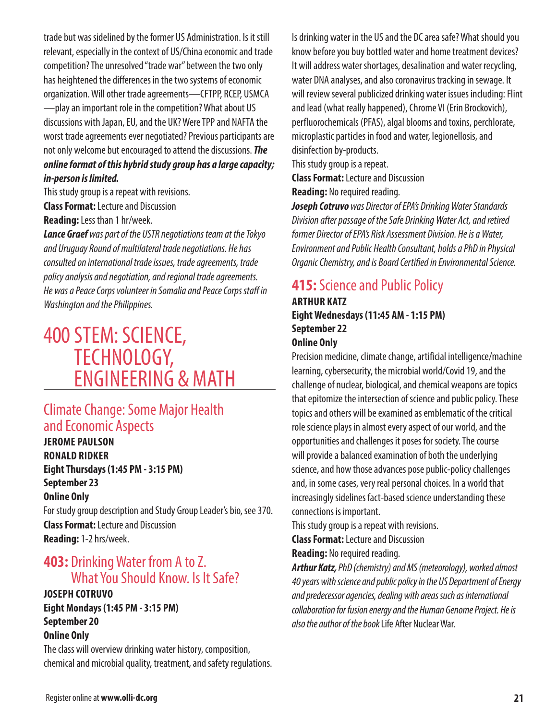trade but was sidelined by the former US Administration. Is it still relevant, especially in the context of US/China economic and trade competition? The unresolved "trade war" between the two only has heightened the differences in the two systems of economic organization. Will other trade agreements—CFTPP, RCEP, USMCA —play an important role in the competition? What about US discussions with Japan, EU, and the UK? Were TPP and NAFTA the worst trade agreements ever negotiated? Previous participants are not only welcome but encouraged to attend the discussions. *The online format of this hybrid study group has a large capacity; in-person is limited.*

This study group is a repeat with revisions. **Class Format:** Lecture and Discussion

**Reading:** Less than 1 hr/week.

*Lance Graef was part of the USTR negotiations team at the Tokyo and Uruguay Round of multilateral trade negotiations. He has consulted on international trade issues, trade agreements, trade policy analysis and negotiation, and regional trade agreements. He was a Peace Corps volunteer in Somalia and Peace Corps staff in Washington and the Philippines.*

## 400 STEM: SCIENCE, TECHNOLOGY, ENGINEERING & MATH

## **Climate Change: Some Major Health** and Economic Aspects

**JEROME PAULSON RONALD RIDKER Eight Thursdays (1:45 PM - 3:15 PM) September 23 Online Only** For study group description and Study Group Leader's bio, see 370.

**Class Format:** Lecture and Discussion **Reading:** 1-2 hrs/week.

## **403:** Drinking Water from A to Z. What You Should Know. Is It Safe?

#### **JOSEPH COTRUVO Eight Mondays (1:45 PM - 3:15 PM) September 20 Online Only**

The class will overview drinking water history, composition, chemical and microbial quality, treatment, and safety regulations. Is drinking water in the US and the DC area safe? What should you know before you buy bottled water and home treatment devices? It will address water shortages, desalination and water recycling, water DNA analyses, and also coronavirus tracking in sewage. It will review several publicized drinking water issues including: Flint and lead (what really happened), Chrome VI (Erin Brockovich), perfluorochemicals (PFAS), algal blooms and toxins, perchlorate, microplastic particles in food and water, legionellosis, and disinfection by-products.

This study group is a repeat.

**Class Format:** Lecture and Discussion

**Reading:** No required reading.

*Joseph Cotruvo was Director of EPA's Drinking Water Standards Division after passage of the Safe Drinking Water Act, and retired former Director of EPA's Risk Assessment Division. He is a Water, Environment and Public Health Consultant, holds a PhD in Physical Organic Chemistry, and is Board Certified in Environmental Science.*

## **415:** Science and Public Policy

#### **ARTHUR KATZ Eight Wednesdays (11:45 AM - 1:15 PM) September 22 Online Only**

Precision medicine, climate change, artificial intelligence/machine learning, cybersecurity, the microbial world/Covid 19, and the challenge of nuclear, biological, and chemical weapons are topics that epitomize the intersection of science and public policy. These topics and others will be examined as emblematic of the critical role science plays in almost every aspect of our world, and the opportunities and challenges it poses for society. The course will provide a balanced examination of both the underlying science, and how those advances pose public-policy challenges and, in some cases, very real personal choices. In a world that increasingly sidelines fact-based science understanding these connections is important.

This study group is a repeat with revisions.

**Class Format:** Lecture and Discussion

**Reading:** No required reading.

*Arthur Katz, PhD (chemistry) and MS (meteorology), worked almost 40 years with science and public policy in the US Department of Energy and predecessor agencies, dealing with areas such as international collaboration for fusion energy and the Human Genome Project. He is also the author of the book* Life After Nuclear War.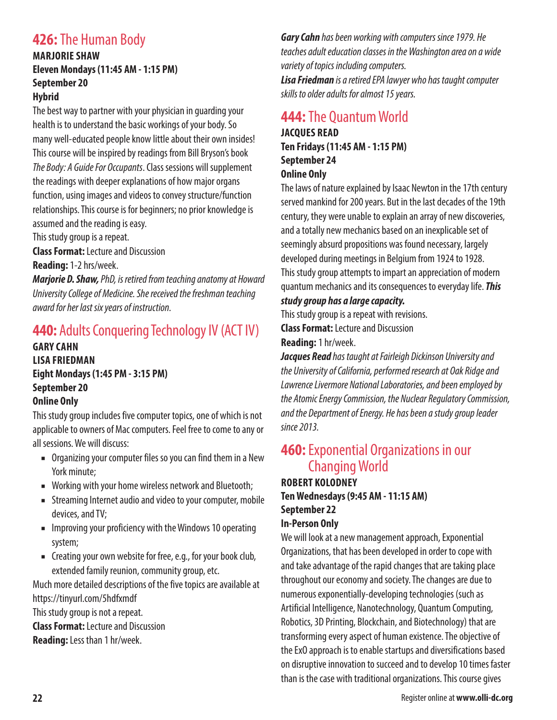## **426:** The Human Body

#### **MARJORIE SHAW Eleven Mondays (11:45 AM - 1:15 PM) September 20 Hybrid**

The best way to partner with your physician in guarding your health is to understand the basic workings of your body. So many well-educated people know little about their own insides! This course will be inspired by readings from Bill Bryson's book *The Body: A Guide For Occupants*. Class sessions will supplement the readings with deeper explanations of how major organs function, using images and videos to convey structure/function relationships. This course is for beginners; no prior knowledge is assumed and the reading is easy.

This study group is a repeat.

**Class Format:** Lecture and Discussion

**Reading:** 1-2 hrs/week.

*Marjorie D. Shaw, PhD, is retired from teaching anatomy at Howard University College of Medicine. She received the freshman teaching award for her last six years of instruction.*

## **440:** Adults Conquering Technology IV (ACT IV)

**GARY CAHN LISA FRIEDMAN Eight Mondays (1:45 PM - 3:15 PM) September 20 Online Only**

This study group includes five computer topics, one of which is not applicable to owners of Mac computers. Feel free to come to any or all sessions. We will discuss:

- Organizing your computer files so you can find them in a New York minute;
- Working with your home wireless network and Bluetooth;
- Streaming Internet audio and video to your computer, mobile devices, and TV;
- Improving your proficiency with the Windows 10 operating system;
- Creating your own website for free, e.g., for your book club, extended family reunion, community group, etc.

Much more detailed descriptions of the five topics are available at https://tinyurl.com/5hdfxmdf

This study group is not a repeat.

**Class Format:** Lecture and Discussion

**Reading:** Less than 1 hr/week.

*Gary Cahn has been working with computers since 1979. He teaches adult education classes in the Washington area on a wide variety of topics including computers. Lisa Friedman is a retired EPA lawyer who has taught computer skills to older adults for almost 15 years.*

## **444:** The Quantum World

**JACQUES READ Ten Fridays (11:45 AM - 1:15 PM) September 24 Online Only**

The laws of nature explained by Isaac Newton in the 17th century served mankind for 200 years. But in the last decades of the 19th century, they were unable to explain an array of new discoveries, and a totally new mechanics based on an inexplicable set of seemingly absurd propositions was found necessary, largely developed during meetings in Belgium from 1924 to 1928. This study group attempts to impart an appreciation of modern quantum mechanics and its consequences to everyday life. *This study group has a large capacity.*

This study group is a repeat with revisions.

**Class Format:** Lecture and Discussion

**Reading:** 1 hr/week.

*Jacques Read has taught at Fairleigh Dickinson University and the University of California, performed research at Oak Ridge and Lawrence Livermore National Laboratories, and been employed by the Atomic Energy Commission, the Nuclear Regulatory Commission, and the Department of Energy. He has been a study group leader since 2013.*

## **460:** Exponential Organizations in our Changing World

#### **ROBERT KOLODNEY Ten Wednesdays (9:45 AM - 11:15 AM) September 22 In-Person Only**

We will look at a new management approach, Exponential Organizations, that has been developed in order to cope with and take advantage of the rapid changes that are taking place throughout our economy and society. The changes are due to numerous exponentially-developing technologies (such as Artificial Intelligence, Nanotechnology, Quantum Computing, Robotics, 3D Printing, Blockchain, and Biotechnology) that are transforming every aspect of human existence. The objective of the ExO approach is to enable startups and diversifications based on disruptive innovation to succeed and to develop 10 times faster than is the case with traditional organizations. This course gives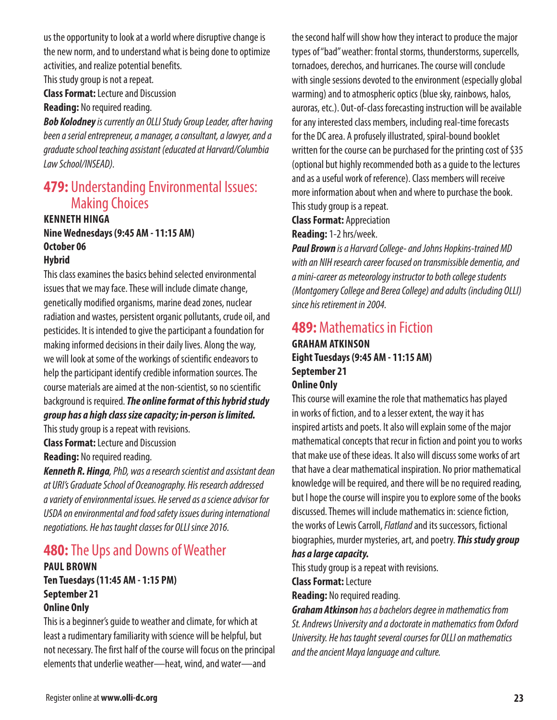us the opportunity to look at a world where disruptive change is the new norm, and to understand what is being done to optimize activities, and realize potential benefits.

This study group is not a repeat.

**Class Format:** Lecture and Discussion

**Reading:** No required reading.

*Bob Kolodney is currently an OLLI Study Group Leader, after having been a serial entrepreneur, a manager, a consultant, a lawyer, and a graduate school teaching assistant (educated at Harvard/Columbia Law School/INSEAD).*

## **479: Understanding Environmental Issues:** Making Choices

#### **KENNETH HINGA Nine Wednesdays (9:45 AM - 11:15 AM) October 06 Hybrid**

This class examines the basics behind selected environmental issues that we may face. These will include climate change, genetically modified organisms, marine dead zones, nuclear radiation and wastes, persistent organic pollutants, crude oil, and pesticides. It is intended to give the participant a foundation for making informed decisions in their daily lives. Along the way, we will look at some of the workings of scientific endeavors to help the participant identify credible information sources. The course materials are aimed at the non-scientist, so no scientific background is required. *The online format of this hybrid study group has a high class size capacity; in-person is limited.*

This study group is a repeat with revisions. **Class Format:** Lecture and Discussion

**Reading:** No required reading.

*Kenneth R. Hinga, PhD, was a research scientist and assistant dean at URI's Graduate School of Oceanography. His research addressed a variety of environmental issues. He served as a science advisor for USDA on environmental and food safety issues during international negotiations. He has taught classes for OLLI since 2016.*

## **480:** The Ups and Downs of Weather

#### **PAUL BROWN Ten Tuesdays (11:45 AM - 1:15 PM) September 21 Online Only**

This is a beginner's guide to weather and climate, for which at least a rudimentary familiarity with science will be helpful, but not necessary. The first half of the course will focus on the principal elements that underlie weather—heat, wind, and water—and

the second half will show how they interact to produce the major types of "bad" weather: frontal storms, thunderstorms, supercells, tornadoes, derechos, and hurricanes. The course will conclude with single sessions devoted to the environment (especially global warming) and to atmospheric optics (blue sky, rainbows, halos, auroras, etc.). Out-of-class forecasting instruction will be available for any interested class members, including real-time forecasts for the DC area. A profusely illustrated, spiral-bound booklet written for the course can be purchased for the printing cost of \$35 (optional but highly recommended both as a guide to the lectures and as a useful work of reference). Class members will receive more information about when and where to purchase the book. This study group is a repeat.

#### **Class Format:** Appreciation

**Reading:** 1-2 hrs/week.

*Paul Brown is a Harvard College- and Johns Hopkins-trained MD with an NIH research career focused on transmissible dementia, and a mini-career as meteorology instructor to both college students (Montgomery College and Berea College) and adults (including OLLI) since his retirement in 2004.*

## **489:** Mathematics in Fiction

#### **GRAHAM ATKINSON Eight Tuesdays (9:45 AM - 11:15 AM) September 21 Online Only**

This course will examine the role that mathematics has played in works of fiction, and to a lesser extent, the way it has inspired artists and poets. It also will explain some of the major mathematical concepts that recur in fiction and point you to works that make use of these ideas. It also will discuss some works of art that have a clear mathematical inspiration. No prior mathematical knowledge will be required, and there will be no required reading, but I hope the course will inspire you to explore some of the books discussed. Themes will include mathematics in: science fiction, the works of Lewis Carroll, *Flatland* and its successors, fictional biographies, murder mysteries, art, and poetry. *This study group* 

#### *has a large capacity.*

This study group is a repeat with revisions.

#### **Class Format:** Lecture

**Reading:** No required reading.

*Graham Atkinson has a bachelors degree in mathematics from St. Andrews University and a doctorate in mathematics from Oxford University. He has taught several courses for OLLI on mathematics and the ancient Maya language and culture.*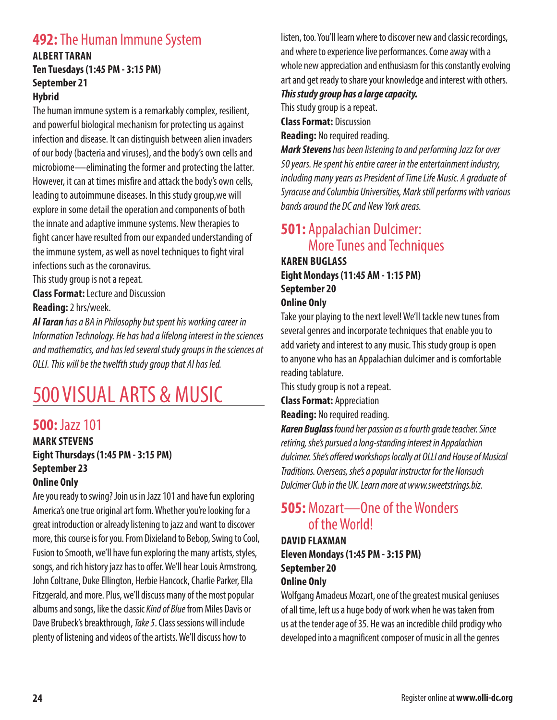## **492:** The Human Immune System

#### **ALBERT TARAN Ten Tuesdays (1:45 PM - 3:15 PM) September 21 Hybrid**

The human immune system is a remarkably complex, resilient, and powerful biological mechanism for protecting us against infection and disease. It can distinguish between alien invaders of our body (bacteria and viruses), and the body's own cells and microbiome—eliminating the former and protecting the latter. However, it can at times misfire and attack the body's own cells, leading to autoimmune diseases. In this study group,we will explore in some detail the operation and components of both the innate and adaptive immune systems. New therapies to fight cancer have resulted from our expanded understanding of the immune system, as well as novel techniques to fight viral infections such as the coronavirus.

This study group is not a repeat.

**Class Format:** Lecture and Discussion

**Reading:** 2 hrs/week.

*Al Taran has a BA in Philosophy but spent his working career in Information Technology. He has had a lifelong interest in the sciences and mathematics, and has led several study groups in the sciences at OLLI. This will be the twelfth study group that Al has led.*

# 500 VISUAL ARTS & MUSIC

## **500:** Jazz 101

#### **MARK STEVENS Eight Thursdays (1:45 PM - 3:15 PM) September 23 Online Only**

Are you ready to swing? Join us in Jazz 101 and have fun exploring America's one true original art form. Whether you're looking for a great introduction or already listening to jazz and want to discover more, this course is for you. From Dixieland to Bebop, Swing to Cool, Fusion to Smooth, we'll have fun exploring the many artists, styles, songs, and rich history jazz has to offer. We'll hear Louis Armstrong, John Coltrane, Duke Ellington, Herbie Hancock, Charlie Parker, Ella Fitzgerald, and more. Plus, we'll discuss many of the most popular albums and songs, like the classic *Kind of Blue* from Miles Davis or Dave Brubeck's breakthrough, *Take 5*. Class sessions will include plenty of listening and videos of the artists. We'll discuss how to

listen, too. You'll learn where to discover new and classic recordings, and where to experience live performances. Come away with a whole new appreciation and enthusiasm for this constantly evolving art and get ready to share your knowledge and interest with others. *This study group has a large capacity.*

This study group is a repeat. **Class Format:** Discussion

**Reading:** No required reading.

*Mark Stevens has been listening to and performing Jazz for over 50 years. He spent his entire career in the entertainment industry, including many years as President of Time Life Music. A graduate of Syracuse and Columbia Universities, Mark still performs with various bands around the DC and New York areas.*

## **501:** Appalachian Dulcimer: More Tunes and Techniques

#### **KAREN BUGLASS Eight Mondays (11:45 AM - 1:15 PM) September 20 Online Only**

Take your playing to the next level! We'll tackle new tunes from several genres and incorporate techniques that enable you to add variety and interest to any music. This study group is open to anyone who has an Appalachian dulcimer and is comfortable reading tablature.

This study group is not a repeat.

**Class Format:** Appreciation

**Reading:** No required reading.

*Karen Buglass found her passion as a fourth grade teacher. Since retiring, she's pursued a long-standing interest in Appalachian dulcimer. She's offered workshops locally at OLLI and House of Musical Traditions. Overseas, she's a popular instructor for the Nonsuch Dulcimer Club in the UK. Learn more at www.sweetstrings.biz.*

## **505:** Mozart—One of the Wonders of the World!

#### **DAVID FLAXMAN Eleven Mondays (1:45 PM - 3:15 PM) September 20 Online Only**

Wolfgang Amadeus Mozart, one of the greatest musical geniuses of all time, left us a huge body of work when he was taken from us at the tender age of 35. He was an incredible child prodigy who developed into a magnificent composer of music in all the genres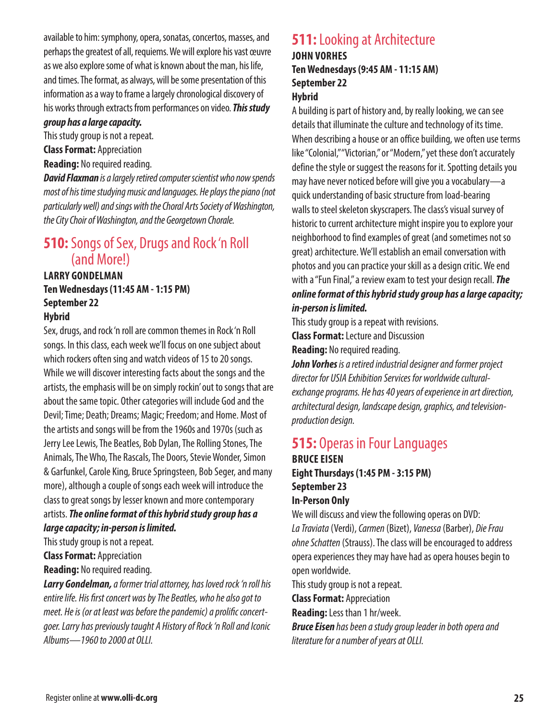available to him: symphony, opera, sonatas, concertos, masses, and perhaps the greatest of all, requiems. We will explore his vast œuvre as we also explore some of what is known about the man, his life, and times. The format, as always, will be some presentation of this information as a way to frame a largely chronological discovery of his works through extracts from performances on video. *This study* 

#### *group has a large capacity.*

This study group is not a repeat.

**Class Format:** Appreciation

**Reading:** No required reading.

*David Flaxman is a largely retired computer scientist who now spends most of his time studying music and languages. He plays the piano (not particularly well) and sings with the Choral Arts Society of Washington, the City Choir of Washington, and the Georgetown Chorale.*

## **510:** Songs of Sex, Drugs and Rock 'n Roll (and More!)

#### **LARRY GONDELMAN Ten Wednesdays (11:45 AM - 1:15 PM) September 22 Hybrid**

Sex, drugs, and rock 'n roll are common themes in Rock 'n Roll songs. In this class, each week we'll focus on one subject about which rockers often sing and watch videos of 15 to 20 songs. While we will discover interesting facts about the songs and the artists, the emphasis will be on simply rockin' out to songs that are about the same topic. Other categories will include God and the Devil; Time; Death; Dreams; Magic; Freedom; and Home. Most of the artists and songs will be from the 1960s and 1970s (such as Jerry Lee Lewis, The Beatles, Bob Dylan, The Rolling Stones, The Animals, The Who, The Rascals, The Doors, Stevie Wonder, Simon & Garfunkel, Carole King, Bruce Springsteen, Bob Seger, and many more), although a couple of songs each week will introduce the class to great songs by lesser known and more contemporary artists. *The online format of this hybrid study group has a large capacity; in-person is limited.*

This study group is not a repeat.

**Class Format:** Appreciation

**Reading:** No required reading.

*Larry Gondelman, a former trial attorney, has loved rock 'n roll his entire life. His first concert was by The Beatles, who he also got to meet. He is (or at least was before the pandemic) a prolific concertgoer. Larry has previously taught A History of Rock 'n Roll and Iconic Albums—1960 to 2000 at OLLI.*

## **511:** Looking at Architecture **JOHN VORHES**

**Ten Wednesdays (9:45 AM - 11:15 AM) September 22**

## **Hybrid**

A building is part of history and, by really looking, we can see details that illuminate the culture and technology of its time. When describing a house or an office building, we often use terms like "Colonial," "Victorian," or "Modern," yet these don't accurately define the style or suggest the reasons for it. Spotting details you may have never noticed before will give you a vocabulary—a quick understanding of basic structure from load-bearing walls to steel skeleton skyscrapers. The class's visual survey of historic to current architecture might inspire you to explore your neighborhood to find examples of great (and sometimes not so great) architecture. We'll establish an email conversation with photos and you can practice your skill as a design critic. We end with a "Fun Final," a review exam to test your design recall. *The online format of this hybrid study group has a large capacity; in-person is limited.*

This study group is a repeat with revisions.

**Class Format:** Lecture and Discussion

**Reading:** No required reading.

*John Vorhes is a retired industrial designer and former project director for USIA Exhibition Services for worldwide culturalexchange programs. He has 40 years of experience in art direction, architectural design, landscape design, graphics, and televisionproduction design.*

### **515:** Operas in Four Languages **BRUCE EISEN Eight Thursdays (1:45 PM - 3:15 PM) September 23**

## **In-Person Only**

We will discuss and view the following operas on DVD: *La Traviata* (Verdi), *Carmen* (Bizet), *Vanessa* (Barber), *Die Frau ohne Schatten* (Strauss). The class will be encouraged to address opera experiences they may have had as opera houses begin to open worldwide.

This study group is not a repeat.

**Class Format:** Appreciation

**Reading:** Less than 1 hr/week.

*Bruce Eisen has been a study group leader in both opera and literature for a number of years at OLLI.*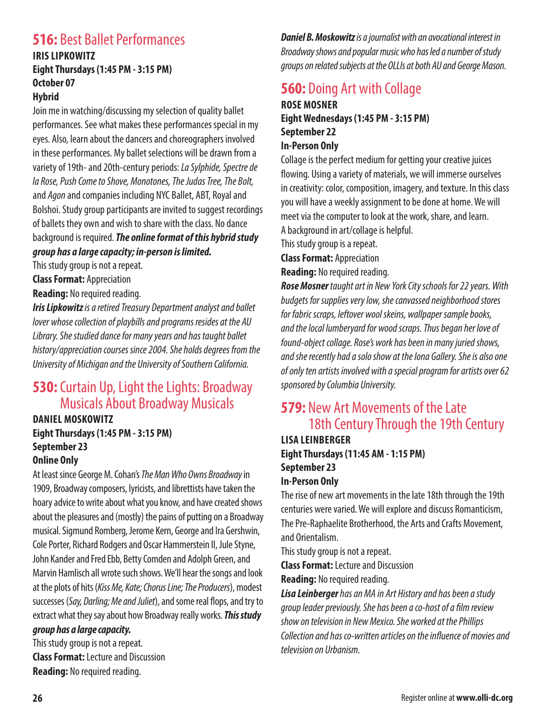## **516: Best Ballet Performances**

#### **IRIS LIPKOWITZ Eight Thursdays (1:45 PM - 3:15 PM) October 07 Hybrid**

Join me in watching/discussing my selection of quality ballet performances. See what makes these performances special in my eyes. Also, learn about the dancers and choreographers involved in these performances. My ballet selections will be drawn from a variety of 19th- and 20th-century periods: *La Sylphide, Spectre de la Rose, Push Come to Shove, Monotones, The Judas Tree, The Bolt,*  and *Agon* and companies including NYC Ballet, ABT, Royal and Bolshoi. Study group participants are invited to suggest recordings of ballets they own and wish to share with the class. No dance background is required. *The online format of this hybrid study group has a large capacity; in-person is limited.*

This study group is not a repeat.

**Class Format:** Appreciation

**Reading:** No required reading.

*Iris Lipkowitz is a retired Treasury Department analyst and ballet lover whose collection of playbills and programs resides at the AU Library. She studied dance for many years and has taught ballet history/appreciation courses since 2004. She holds degrees from the University of Michigan and the University of Southern California.*

## **530:** Curtain Up, Light the Lights: Broadway Musicals About Broadway Musicals

#### **DANIEL MOSKOWITZ Eight Thursdays (1:45 PM - 3:15 PM) September 23 Online Only**

At least since George M. Cohan's *The Man Who Owns Broadway* in 1909, Broadway composers, lyricists, and librettists have taken the hoary advice to write about what you know, and have created shows about the pleasures and (mostly) the pains of putting on a Broadway musical. Sigmund Romberg, Jerome Kern, George and Ira Gershwin, Cole Porter, Richard Rodgers and Oscar Hammerstein II, Jule Styne, John Kander and Fred Ebb, Betty Comden and Adolph Green, and Marvin Hamlisch all wrote such shows. We'll hear the songs and look at the plots of hits (*Kiss Me, Kate; Chorus Line; The Producers*), modest successes (*Say, Darling; Me and Juliet*), and some real flops, and try to extract what they say about how Broadway really works. *This study group has a large capacity.*

This study group is not a repeat. **Class Format:** Lecture and Discussion **Reading:** No required reading.

*Daniel B. Moskowitz is a journalist with an avocational interest in Broadway shows and popular music who has led a number of study groups on related subjects at the OLLIs at both AU and George Mason.*

## **560: Doing Art with Collage**

#### **ROSE MOSNER Eight Wednesdays (1:45 PM - 3:15 PM) September 22 In-Person Only**

Collage is the perfect medium for getting your creative juices flowing. Using a variety of materials, we will immerse ourselves in creativity: color, composition, imagery, and texture. In this class you will have a weekly assignment to be done at home. We will meet via the computer to look at the work, share, and learn. A background in art/collage is helpful.

This study group is a repeat.

**Class Format:** Appreciation

**Reading:** No required reading.

*Rose Mosner taught art in New York City schools for 22 years. With budgets for supplies very low, she canvassed neighborhood stores for fabric scraps, leftover wool skeins, wallpaper sample books, and the local lumberyard for wood scraps. Thus began her love of found-object collage. Rose's work has been in many juried shows, and she recently had a solo show at the Iona Gallery. She is also one of only ten artists involved with a special program for artists over 62 sponsored by Columbia University.*

## **579:** New Art Movements of the Late 18th Century Through the 19th Century

### **LISA LEINBERGER Eight Thursdays (11:45 AM - 1:15 PM) September 23 In-Person Only**

The rise of new art movements in the late 18th through the 19th centuries were varied. We will explore and discuss Romanticism, The Pre-Raphaelite Brotherhood, the Arts and Crafts Movement, and Orientalism.

This study group is not a repeat.

**Class Format:** Lecture and Discussion

**Reading:** No required reading.

*Lisa Leinberger has an MA in Art History and has been a study group leader previously. She has been a co-host of a film review show on television in New Mexico. She worked at the Phillips Collection and has co-written articles on the influence of movies and television on Urbanism.*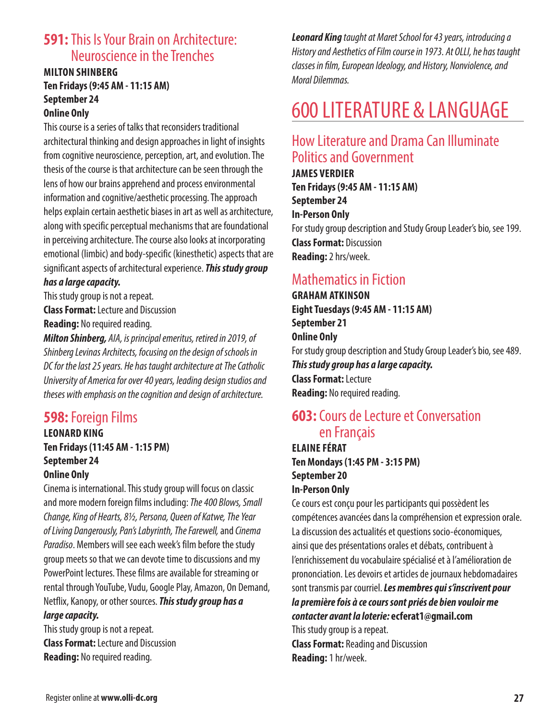## **591:** This Is Your Brain on Architecture: Neuroscience in the Trenches

#### **MILTON SHINBERG Ten Fridays (9:45 AM - 11:15 AM) September 24 Online Only**

This course is a series of talks that reconsiders traditional architectural thinking and design approaches in light of insights from cognitive neuroscience, perception, art, and evolution. The thesis of the course is that architecture can be seen through the lens of how our brains apprehend and process environmental information and cognitive/aesthetic processing. The approach helps explain certain aesthetic biases in art as well as architecture, along with specific perceptual mechanisms that are foundational in perceiving architecture. The course also looks at incorporating emotional (limbic) and body-specific (kinesthetic) aspects that are significant aspects of architectural experience. *This study group* 

### *has a large capacity.*

This study group is not a repeat.

**Class Format:** Lecture and Discussion **Reading:** No required reading.

*Milton Shinberg, AIA, is principal emeritus, retired in 2019, of Shinberg Levinas Architects, focusing on the design of schools in DC for the last 25 years. He has taught architecture at The Catholic University of America for over 40 years, leading design studios and theses with emphasis on the cognition and design of architecture.*

## **598:** Foreign Films

#### **LEONARD KING Ten Fridays (11:45 AM - 1:15 PM) September 24 Online Only**

Cinema is international. This study group will focus on classic and more modern foreign films including: *The400 Blows, Small Change, King of Hearts, 8½, Persona, Queen of Katwe, The Year of Living Dangerously, Pan's Labyrinth, The Farewell,* and *Cinema Paradiso*. Members will see each week's film before the study group meets so that we can devote time to discussions and my PowerPoint lectures. These films are available for streaming or rental through YouTube, Vudu, Google Play, Amazon, On Demand, Netflix, Kanopy, or other sources. *This study group has a large capacity.*

This study group is not a repeat. **Class Format:** Lecture and Discussion **Reading:** No required reading.

*Leonard King taught at Maret School for 43 years, introducing a History and Aesthetics of Film course in 1973. At OLLI, he has taught classes in film, European Ideology, and History, Nonviolence, and Moral Dilemmas.*

## 600 LITERATURE & LANGUAGE

## How Literature and Drama Can Illuminate Politics and Government

**JAMES VERDIER Ten Fridays (9:45 AM - 11:15 AM) September 24 In-Person Only** For study group description and Study Group Leader's bio, see 199. **Class Format:** Discussion **Reading:** 2 hrs/week.

## Mathematics in Fiction

**GRAHAM ATKINSON Eight Tuesdays (9:45 AM - 11:15 AM) September 21 Online Only** For study group description and Study Group Leader's bio, see 489. *This study group has a large capacity.* **Class Format:** Lecture **Reading:** No required reading.

## **603:** Cours de Lecture et Conversation en Français

**ELAINE FÉRAT Ten Mondays (1:45 PM - 3:15 PM) September 20 In-Person Only**

Ce cours est conçu pour les participants qui possèdent les compétences avancées dans la compréhension et expression orale. La discussion des actualités et questions socio-économiques, ainsi que des présentations orales et débats, contribuent à l'enrichissement du vocabulaire spécialisé et à l'amélioration de prononciation. Les devoirs et articles de journaux hebdomadaires sont transmis par courriel. *Les membres qui s'inscrivent pour la première fois à ce cours sont priés de bien vouloir me contacter avant la loterie:* **ecferat1@gmail.com** This study group is a repeat.

**Class Format:** Reading and Discussion **Reading:** 1 hr/week.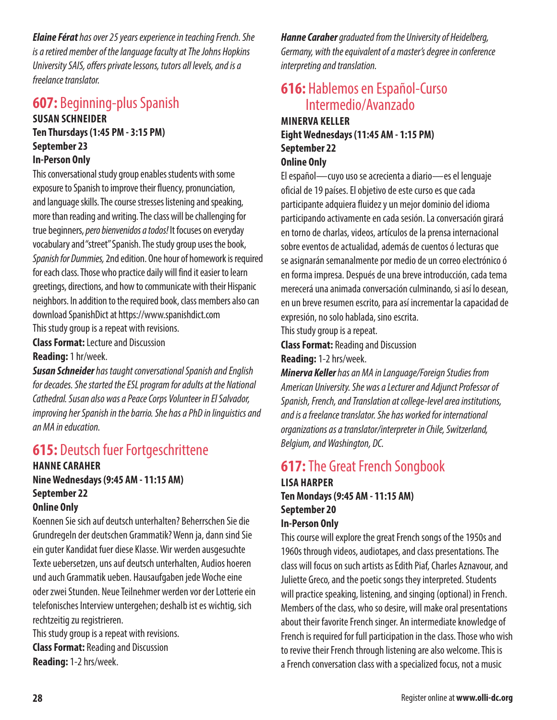*Elaine Férat has over 25 years experience in teaching French. She is a retired member of the language faculty at The Johns Hopkins University SAIS, offers private lessons, tutors all levels, and is a freelance translator.*

### **607:** Beginning-plus Spanish **SUSAN SCHNEIDER**

## **Ten Thursdays (1:45 PM - 3:15 PM) September 23 In-Person Only**

This conversational study group enables students with some exposure to Spanish to improve their fluency, pronunciation, and language skills. The course stresses listening and speaking, more than reading and writing. The class will be challenging for true beginners, *pero bienvenidos a todos!* It focuses on everyday vocabulary and "street" Spanish. The study group uses the book, *Spanish for Dummies,* 2nd edition. One hour of homework is required for each class. Those who practice daily will find it easier to learn greetings, directions, and how to communicate with their Hispanic neighbors. In addition to the required book, class members also can download SpanishDict at https://www.spanishdict.com

This study group is a repeat with revisions. **Class Format:** Lecture and Discussion

**Reading:** 1 hr/week.

*Susan Schneider has taught conversational Spanish and English for decades. She started the ESL program for adults at the National Cathedral. Susan also was a Peace Corps Volunteer in El Salvador, improving her Spanish in the barrio. She has a PhD in linguistics and an MA in education.*

## **615:** Deutsch fuer Fortgeschrittene

#### **HANNE CARAHER Nine Wednesdays (9:45 AM - 11:15 AM) September 22 Online Only**

Koennen Sie sich auf deutsch unterhalten? Beherrschen Sie die Grundregeln der deutschen Grammatik? Wenn ja, dann sind Sie ein guter Kandidat fuer diese Klasse. Wir werden ausgesuchte Texte uebersetzen, uns auf deutsch unterhalten, Audios hoeren und auch Grammatik ueben. Hausaufgaben jede Woche eine oder zwei Stunden. Neue Teilnehmer werden vor der Lotterie ein telefonisches Interview untergehen; deshalb ist es wichtig, sich rechtzeitig zu registrieren.

This study group is a repeat with revisions. **Class Format:** Reading and Discussion **Reading:** 1-2 hrs/week.

*Hanne Caraher graduated from the University of Heidelberg, Germany, with the equivalent of a master's degree in conference interpreting and translation.*

## **616:** Hablemos en Español-Curso Intermedio/Avanzado

## **MINERVA KELLER Eight Wednesdays (11:45 AM - 1:15 PM) September 22**

## **Online Only**

El español—cuyo uso se acrecienta a diario—es el lenguaje oficial de 19 países. El objetivo de este curso es que cada participante adquiera fluidez y un mejor dominio del idioma participando activamente en cada sesión. La conversación girará en torno de charlas, videos, artículos de la prensa internacional sobre eventos de actualidad, además de cuentos ó lecturas que se asignarán semanalmente por medio de un correo electrónico ó en forma impresa. Después de una breve introducción, cada tema merecerá una animada conversación culminando, si así lo desean, en un breve resumen escrito, para así incrementar la capacidad de expresión, no solo hablada, sino escrita.

This study group is a repeat.

**Class Format:** Reading and Discussion

#### **Reading:** 1-2 hrs/week.

*Minerva Keller has an MA in Language/Foreign Studies from American University. She was a Lecturer and Adjunct Professor of Spanish, French, and Translation at college-level area institutions, and is a freelance translator. She has worked for international organizations as a translator/interpreter in Chile, Switzerland, Belgium, and Washington, DC.*

## **617:** The Great French Songbook **LISA HARPER Ten Mondays (9:45 AM - 11:15 AM) September 20**

## **In-Person Only**

This course will explore the great French songs of the 1950s and 1960s through videos, audiotapes, and class presentations. The class will focus on such artists as Edith Piaf, Charles Aznavour, and Juliette Greco, and the poetic songs they interpreted. Students will practice speaking, listening, and singing (optional) in French. Members of the class, who so desire, will make oral presentations about their favorite French singer. An intermediate knowledge of French is required for full participation in the class. Those who wish to revive their French through listening are also welcome. This is a French conversation class with a specialized focus, not a music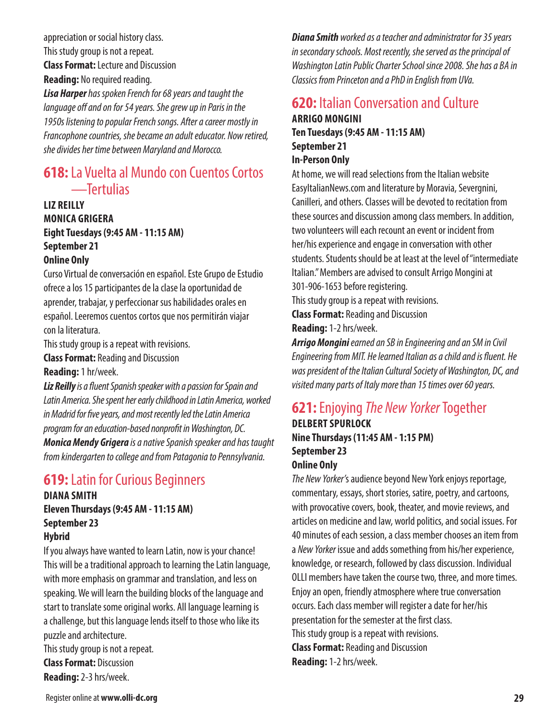appreciation or social history class. This study group is not a repeat. **Class Format:** Lecture and Discussion **Reading:** No required reading.

*Lisa Harper has spoken French for 68 years and taught the language off and on for 54 years. She grew up in Paris in the 1950s listening to popular French songs. After a career mostly in Francophone countries, she became an adult educator. Now retired, she divides her time between Maryland and Morocco.*

## **618:** La Vuelta al Mundo con Cuentos Cortos —Tertulias

## **LIZ REILLY MONICA GRIGERA Eight Tuesdays (9:45 AM - 11:15 AM) September 21**

#### **Online Only**

Curso Virtual de conversación en español. Este Grupo de Estudio ofrece a los 15 participantes de la clase la oportunidad de aprender, trabajar, y perfeccionar sus habilidades orales en español. Leeremos cuentos cortos que nos permitirán viajar con la literatura.

This study group is a repeat with revisions.

**Class Format:** Reading and Discussion

#### **Reading:** 1 hr/week.

*Liz Reilly is a fluent Spanish speaker with a passion for Spain and Latin America. She spent her early childhood in Latin America, worked in Madrid for five years, and most recently led the Latin America program for an education-based nonprofit in Washington, DC. Monica Mendy Grigera is a native Spanish speaker and has taught from kindergarten to college and from Patagonia to Pennsylvania.*

## **619:** Latin for Curious Beginners

#### **DIANA SMITH Eleven Thursdays (9:45 AM - 11:15 AM) September 23 Hybrid**

If you always have wanted to learn Latin, now is your chance! This will be a traditional approach to learning the Latin language, with more emphasis on grammar and translation, and less on speaking. We will learn the building blocks of the language and start to translate some original works. All language learning is a challenge, but this language lends itself to those who like its puzzle and architecture.

This study group is not a repeat. **Class Format:** Discussion **Reading:** 2-3 hrs/week.

*Diana Smith worked as a teacher and administrator for 35 years in secondary schools. Most recently, she served as the principal of Washington Latin Public Charter School since 2008. She has a BA in Classics from Princeton and a PhD in English from UVa.*

## **620:** Italian Conversation and Culture **ARRIGO MONGINI Ten Tuesdays (9:45 AM - 11:15 AM) September 21**

## **In-Person Only**

At home, we will read selections from the Italian website EasyItalianNews.com and literature by Moravia, Severgnini, Canilleri, and others. Classes will be devoted to recitation from these sources and discussion among class members. In addition, two volunteers will each recount an event or incident from her/his experience and engage in conversation with other students. Students should be at least at the level of "intermediate Italian." Members are advised to consult Arrigo Mongini at 301-906-1653 before registering.

This study group is a repeat with revisions.

**Class Format:** Reading and Discussion

**Reading:** 1-2 hrs/week.

*Arrigo Mongini earned an SB in Engineering and an SM in Civil Engineering from MIT. He learned Italian as a child and is fluent. He was president of the Italian Cultural Society of Washington, DC, and visited many parts of Italy more than 15 times over 60 years.*

## **621:** Enjoying *The New Yorker* Together

#### **DELBERT SPURLOCK Nine Thursdays (11:45 AM - 1:15 PM) September 23 Online Only**

*The New Yorker'*s audience beyond New York enjoys reportage, commentary, essays, short stories, satire, poetry, and cartoons, with provocative covers, book, theater, and movie reviews, and articles on medicine and law, world politics, and social issues. For 40 minutes of each session, a class member chooses an item from a *New Yorker* issue and adds something from his/her experience, knowledge, or research, followed by class discussion. Individual OLLI members have taken the course two, three, and more times. Enjoy an open, friendly atmosphere where true conversation occurs. Each class member will register a date for her/his presentation for the semester at the first class. This study group is a repeat with revisions. **Class Format:** Reading and Discussion **Reading:** 1-2 hrs/week.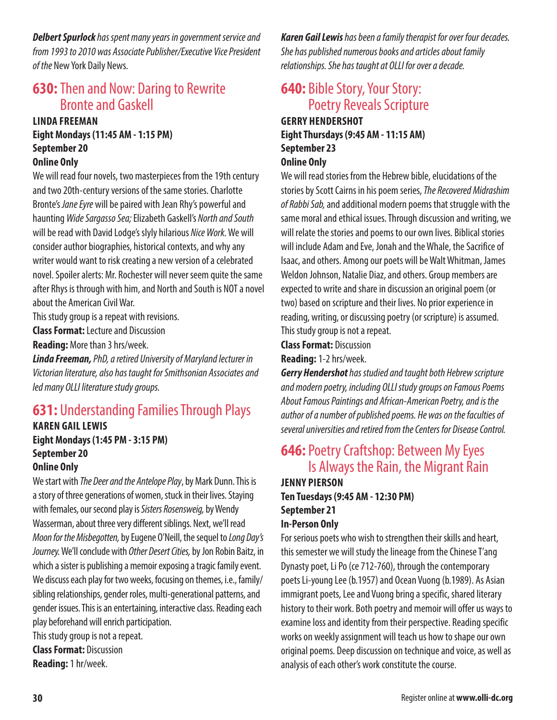*Delbert Spurlock has spent many years in government service and from 1993 to 2010 was Associate Publisher/Executive Vice President of the* New York Daily News.

## **630:** Then and Now: Daring to Rewrite Bronte and Gaskell

## **LINDA FREEMAN Eight Mondays (11:45 AM - 1:15 PM) September 20**

### **Online Only**

We will read four novels, two masterpieces from the 19th century and two 20th-century versions of the same stories. Charlotte Bronte's *Jane Eyre* will be paired with Jean Rhy's powerful and haunting *Wide Sargasso Sea;* Elizabeth Gaskell's *North and South*  will be read with David Lodge's slyly hilarious *Nice Work.* We will consider author biographies, historical contexts, and why any writer would want to risk creating a new version of a celebrated novel. Spoiler alerts: Mr. Rochester will never seem quite the same after Rhys is through with him, and North and South is NOT a novel about the American Civil War.

This study group is a repeat with revisions.

**Class Format:** Lecture and Discussion

**Reading:** More than 3 hrs/week.

*Linda Freeman, PhD, a retired University of Maryland lecturer in Victorian literature, also has taught for Smithsonian Associates and led many OLLI literature study groups.*

## **631:** Understanding Families Through Plays

### **KAREN GAIL LEWIS Eight Mondays (1:45 PM - 3:15 PM) September 20**

#### **Online Only**

We start with *The Deer and the Antelope Play*, by Mark Dunn. This is a story of three generations of women, stuck in their lives. Staying with females, our second play is *Sisters Rosensweig,* by Wendy Wasserman, about three very different siblings. Next, we'll read *Moon for the Misbegotten,* by Eugene O'Neill, the sequel to *Long Day's Journey.* We'll conclude with *Other Desert Cities,* by Jon Robin Baitz, in which a sister is publishing a memoir exposing a tragic family event. We discuss each play for two weeks, focusing on themes, i.e., family/ sibling relationships, gender roles, multi-generational patterns, and gender issues. This is an entertaining, interactive class. Reading each play beforehand will enrich participation.

This study group is not a repeat.

**Class Format:** Discussion **Reading:** 1 hr/week.

*Karen Gail Lewis has been a family therapist for over four decades. She has published numerous books and articles about family relationships. She has taught at OLLI for over a decade.*

## **640:** Bible Story, Your Story: Poetry Reveals Scripture **GERRY HENDERSHOT Eight Thursdays (9:45 AM - 11:15 AM)**

## **September 23**

## **Online Only**

We will read stories from the Hebrew bible, elucidations of the stories by Scott Cairns in his poem series, *The Recovered Midrashim of Rabbi Sab,* and additional modern poems that struggle with the same moral and ethical issues. Through discussion and writing, we will relate the stories and poems to our own lives. Biblical stories will include Adam and Eve, Jonah and the Whale, the Sacrifice of Isaac, and others. Among our poets will be Walt Whitman, James Weldon Johnson, Natalie Diaz, and others. Group members are expected to write and share in discussion an original poem (or two) based on scripture and their lives. No prior experience in reading, writing, or discussing poetry (or scripture) is assumed. This study group is not a repeat.

**Class Format:** Discussion

#### **Reading:** 1-2 hrs/week.

*Gerry Hendershot has studied and taught both Hebrew scripture and modern poetry, including OLLI study groups on Famous Poems About Famous Paintings and African-American Poetry, and is the author of a number of published poems. He was on the faculties of several universities and retired from the Centers for Disease Control.*

## **646:** Poetry Craftshop: Between My Eyes Is Always the Rain, the Migrant Rain

#### **JENNY PIERSON Ten Tuesdays (9:45 AM - 12:30 PM) September 21 In-Person Only**

For serious poets who wish to strengthen their skills and heart, this semester we will study the lineage from the Chinese T'ang Dynasty poet, Li Po (ce 712-760), through the contemporary poets Li-young Lee (b.1957) and Ocean Vuong (b.1989). As Asian immigrant poets, Lee and Vuong bring a specific, shared literary history to their work. Both poetry and memoir will offer us ways to examine loss and identity from their perspective. Reading specific works on weekly assignment will teach us how to shape our own original poems. Deep discussion on technique and voice, as well as analysis of each other's work constitute the course.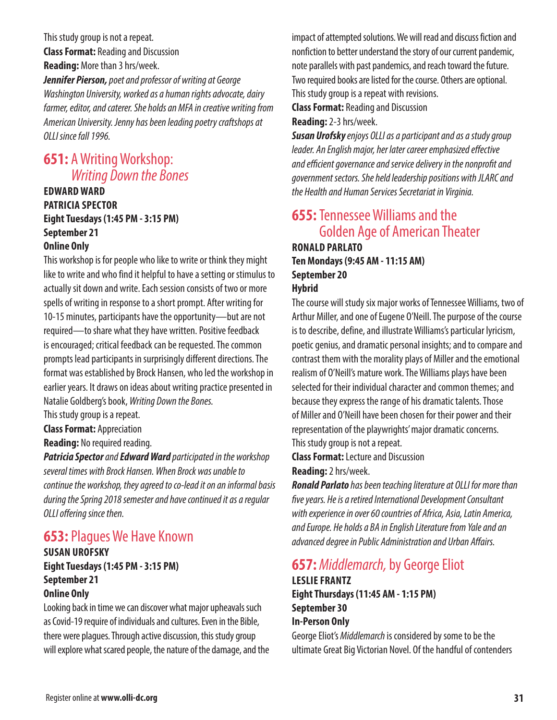This study group is not a repeat. **Class Format:** Reading and Discussion **Reading:** More than 3 hrs/week.

*Jennifer Pierson, poet and professor of writing at George Washington University, worked as a human rights advocate, dairy farmer, editor, and caterer. She holds an MFA in creative writing from American University. Jenny has been leading poetry craftshops at OLLI since fall 1996.*

## **651:** A Writing Workshop: *Writing Down the Bones*

#### **EDWARD WARD PATRICIA SPECTOR Eight Tuesdays (1:45 PM - 3:15 PM) September 21 Online Only**

This workshop is for people who like to write or think they might like to write and who find it helpful to have a setting or stimulus to actually sit down and write. Each session consists of two or more spells of writing in response to a short prompt. After writing for 10-15 minutes, participants have the opportunity—but are not required—to share what they have written. Positive feedback is encouraged; critical feedback can be requested. The common prompts lead participants in surprisingly different directions. The format was established by Brock Hansen, who led the workshop in earlier years. It draws on ideas about writing practice presented in Natalie Goldberg's book, *Writing Down the Bones.*

This study group is a repeat.

**Class Format:** Appreciation

**Reading:** No required reading.

*Patricia Spector and Edward Ward participated in the workshop several times with Brock Hansen. When Brock was unable to continue the workshop, they agreed to co-lead it on an informal basis during the Spring 2018 semester and have continued it as a regular OLLI offering since then.*

## **653:** Plagues We Have Known

#### **SUSAN UROFSKY Eight Tuesdays (1:45 PM - 3:15 PM) September 21 Online Only**

Looking back in time we can discover what major upheavals such as Covid-19 require of individuals and cultures. Even in the Bible, there were plagues. Through active discussion, this study group will explore what scared people, the nature of the damage, and the

impact of attempted solutions. We will read and discuss fiction and nonfiction to better understand the story of our current pandemic, note parallels with past pandemics, and reach toward the future. Two required books are listed for the course. Others are optional. This study group is a repeat with revisions.

**Class Format:** Reading and Discussion

**Reading:** 2-3 hrs/week.

*Susan Urofsky enjoys OLLI as a participant and as a study group leader. An English major, her later career emphasized effective and efficient governance and service delivery in the nonprofit and government sectors. She held leadership positions with JLARC and the Health and Human Services Secretariat in Virginia.*

## **655:** Tennessee Williams and the Golden Age of American Theater **RONALD PARLATO**

### **Ten Mondays (9:45 AM - 11:15 AM) September 20 Hybrid**

The course will study six major works of Tennessee Williams, two of Arthur Miller, and one of Eugene O'Neill. The purpose of the course is to describe, define, and illustrate Williams's particular lyricism, poetic genius, and dramatic personal insights; and to compare and contrast them with the morality plays of Miller and the emotional realism of O'Neill's mature work. The Williams plays have been selected for their individual character and common themes; and because they express the range of his dramatic talents. Those of Miller and O'Neill have been chosen for their power and their representation of the playwrights' major dramatic concerns. This study group is not a repeat.

**Class Format:** Lecture and Discussion **Reading:** 2 hrs/week.

*Ronald Parlato has been teaching literature at OLLI for more than five years. He is a retired International Development Consultant with experience in over 60 countries of Africa, Asia, Latin America, and Europe. He holds a BA in English Literature from Yale and an advanced degree in Public Administration and Urban Affairs.*

### **657:** *Middlemarch,* by George Eliot **LESLIE FRANTZ Eight Thursdays (11:45 AM - 1:15 PM) September 30 In-Person Only**

George Eliot's *Middlemarch* is considered by some to be the ultimate Great Big Victorian Novel. Of the handful of contenders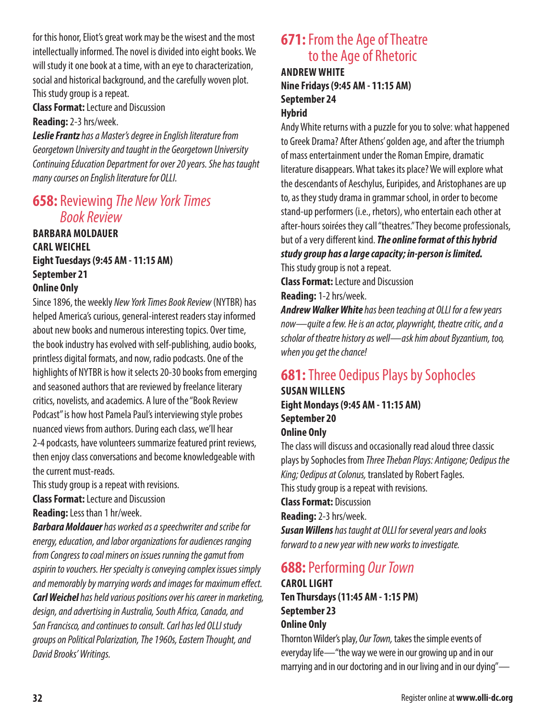for this honor, Eliot's great work may be the wisest and the most intellectually informed. The novel is divided into eight books. We will study it one book at a time, with an eye to characterization, social and historical background, and the carefully woven plot. This study group is a repeat.

**Class Format:** Lecture and Discussion

**Reading:** 2-3 hrs/week.

*Leslie Frantz has a Master's degree in English literature from Georgetown University and taught in the Georgetown University Continuing Education Department for over 20 years. She has taught many courses on English literature for OLLI.*

## **658:** Reviewing *The New York Times Book Review*

**BARBARA MOLDAUER CARL WEICHEL Eight Tuesdays (9:45 AM - 11:15 AM) September 21 Online Only**

Since 1896, the weekly *New York Times Book Review* (NYTBR) has helped America's curious, general-interest readers stay informed about new books and numerous interesting topics. Over time, the book industry has evolved with self-publishing, audio books, printless digital formats, and now, radio podcasts. One of the highlights of NYTBR is how it selects 20-30 books from emerging and seasoned authors that are reviewed by freelance literary critics, novelists, and academics. A lure of the "Book Review Podcast" is how host Pamela Paul's interviewing style probes nuanced views from authors. During each class, we'll hear 2-4 podcasts, have volunteers summarize featured print reviews, then enjoy class conversations and become knowledgeable with the current must-reads.

This study group is a repeat with revisions.

**Class Format:** Lecture and Discussion

**Reading:** Less than 1 hr/week.

*Barbara Moldauer has worked as a speechwriter and scribe for energy, education, and labor organizations for audiences ranging from Congress to coal miners on issues running the gamut from aspirin to vouchers. Her specialty is conveying complex issues simply and memorably by marrying words and images for maximum effect. Carl Weichel has held various positions over his career in marketing, design, and advertising in Australia, South Africa, Canada, and San Francisco, and continues to consult. Carl has led OLLI study groups on Political Polarization, The 1960s, Eastern Thought, and David Brooks' Writings.*

## **671:** From the Age of Theatre to the Age of Rhetoric

#### **ANDREW WHITE Nine Fridays (9:45 AM - 11:15 AM) September 24 Hybrid**

Andy White returns with a puzzle for you to solve: what happened to Greek Drama? After Athens' golden age, and after the triumph of mass entertainment under the Roman Empire, dramatic literature disappears. What takes its place? We will explore what the descendants of Aeschylus, Euripides, and Aristophanes are up to, as they study drama in grammar school, in order to become stand-up performers (i.e., rhetors), who entertain each other at after-hours soirées they call "theatres." They become professionals, but of a very different kind. *The online format of this hybrid study group has a large capacity; in-person is limited.*

This study group is not a repeat. **Class Format:** Lecture and Discussion

**Reading:** 1-2 hrs/week.

*Andrew Walker White has been teaching at OLLI for a few years now—quite a few. He is an actor, playwright, theatre critic, and a scholar of theatre history as well—ask him about Byzantium, too, when you get the chance!*

## **681:** Three Oedipus Plays by Sophocles

**SUSAN WILLENS Eight Mondays (9:45 AM - 11:15 AM) September 20 Online Only**

The class will discuss and occasionally read aloud three classic plays by Sophocles from *Three Theban Plays: Antigone; Oedipus the King; Oedipus at Colonus,* translated by Robert Fagles. This study group is a repeat with revisions.

**Class Format:** Discussion

**Reading:** 2-3 hrs/week.

*Susan Willens has taught at OLLI for several years and looks forward to a new year with new works to investigate.*

## **688:** Performing *Our Town*

**CAROL LIGHT Ten Thursdays (11:45 AM - 1:15 PM) September 23 Online Only**

Thornton Wilder's play, *Our Town,* takes the simple events of everyday life—"the way we were in our growing up and in our marrying and in our doctoring and in our living and in our dying"—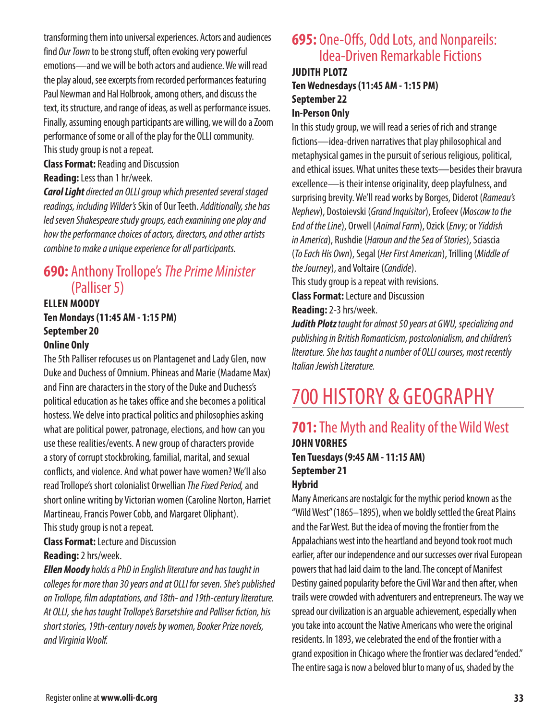transforming them into universal experiences. Actors and audiences find *Our Town* to be strong stuff, often evoking very powerful emotions—and we will be both actors and audience. We will read the play aloud, see excerpts from recorded performances featuring Paul Newman and Hal Holbrook, among others, and discuss the text, its structure, and range of ideas, as well as performance issues. Finally, assuming enough participants are willing, we will do a Zoom performance of some or all of the play for the OLLI community. This study group is not a repeat.

#### **Class Format:** Reading and Discussion **Reading:** Less than 1 hr/week.

*Carol Light directed an OLLI group which presented several staged readings, including Wilder's* Skin of Our Teeth. *Additionally, she has led seven Shakespeare study groups, each examining one play and how the performance choices of actors, directors, and other artists combine to make a unique experience for all participants.*

## **690:** Anthony Trollope's *The Prime Minister*  (Palliser 5)

## **ELLEN MOODY Ten Mondays (11:45 AM - 1:15 PM) September 20**

## **Online Only**

The 5th Palliser refocuses us on Plantagenet and Lady Glen, now Duke and Duchess of Omnium. Phineas and Marie (Madame Max) and Finn are characters in the story of the Duke and Duchess's political education as he takes office and she becomes a political hostess. We delve into practical politics and philosophies asking what are political power, patronage, elections, and how can you use these realities/events. A new group of characters provide a story of corrupt stockbroking, familial, marital, and sexual conflicts, and violence. And what power have women? We'll also read Trollope's short colonialist Orwellian *The Fixed Period,* and short online writing by Victorian women (Caroline Norton, Harriet Martineau, Francis Power Cobb, and Margaret Oliphant). This study group is not a repeat.

#### **Class Format:** Lecture and Discussion **Reading:** 2 hrs/week.

*Ellen Moody holds a PhD in English literature and has taught in colleges for more than 30 years and at OLLI for seven. She's published on Trollope, film adaptations, and 18th- and 19th-century literature. At OLLI, she has taught Trollope's Barsetshire and Palliser fiction, his short stories, 19th-century novels by women, Booker Prize novels, and Virginia Woolf.*

## **695:** One-Offs, Odd Lots, and Nonpareils: Idea-Driven Remarkable Fictions

#### **JUDITH PLOTZ Ten Wednesdays (11:45 AM - 1:15 PM) September 22 In-Person Only**

In this study group, we will read a series of rich and strange fictions—idea-driven narratives that play philosophical and metaphysical games in the pursuit of serious religious, political, and ethical issues. What unites these texts—besides their bravura excellence—is their intense originality, deep playfulness, and surprising brevity. We'll read works by Borges, Diderot (*Rameau's Nephew*), Dostoievski (*Grand Inquisitor*), Erofeev (*Moscow to the End of the Line*), Orwell (*Animal Farm*), Ozick (*Envy;* or *Yiddish in America*), Rushdie (*Haroun and the Sea of Stories*), Sciascia (*To Each His Own*), Segal (*Her First American*), Trilling (*Middle of the Journey*), and Voltaire (*Candide*).

This study group is a repeat with revisions. **Class Format:** Lecture and Discussion

**Reading:** 2-3 hrs/week.

*Judith Plotz taught for almost 50 years at GWU, specializing and publishing in British Romanticism, postcolonialism, and children's literature. She has taught a number of OLLI courses, most recently Italian Jewish Literature.*

## 700 HISTORY & GEOGRAPHY

## **701:** The Myth and Reality of the Wild West **JOHN VORHES Ten Tuesdays (9:45 AM - 11:15 AM) September 21 Hybrid**

Many Americans are nostalgic for the mythic period known as the "Wild West" (1865–1895), when we boldly settled the Great Plains and the Far West. But the idea of moving the frontier from the Appalachians west into the heartland and beyond took root much earlier, after our independence and our successes over rival European powers that had laid claim to the land. The concept of Manifest Destiny gained popularity before the Civil War and then after, when trails were crowded with adventurers and entrepreneurs. The way we spread our civilization is an arguable achievement, especially when you take into account the Native Americans who were the original residents. In 1893, we celebrated the end of the frontier with a grand exposition in Chicago where the frontier was declared "ended." The entire saga is now a beloved blur to many of us, shaded by the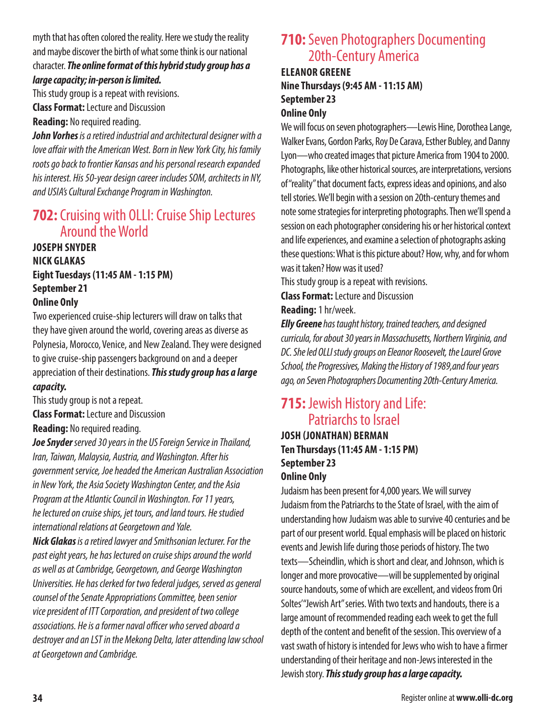### myth that has often colored the reality. Here we study the reality and maybe discover the birth of what some think is our national character. *The online format of this hybrid study group has a large capacity; in-person is limited.*

This study group is a repeat with revisions.

**Class Format:** Lecture and Discussion

**Reading:** No required reading.

*John Vorhes is a retired industrial and architectural designer with a love affair with the American West. Born in New York City, his family roots go back to frontier Kansas and his personal research expanded his interest. His 50-year design career includes SOM, architects in NY, and USIA's Cultural Exchange Program in Washington.*

## **702:** Cruising with OLLI: Cruise Ship Lectures Around the World

**JOSEPH SNYDER NICK GLAKAS Eight Tuesdays (11:45 AM - 1:15 PM) September 21 Online Only**

Two experienced cruise-ship lecturers will draw on talks that they have given around the world, covering areas as diverse as Polynesia, Morocco, Venice, and New Zealand. They were designed to give cruise-ship passengers background on and a deeper appreciation of their destinations. *This study group has a large capacity.*

This study group is not a repeat.

**Class Format:** Lecture and Discussion

**Reading:** No required reading.

*Joe Snyder served 30 years in the US Foreign Service in Thailand, Iran, Taiwan, Malaysia, Austria, and Washington. After his government service, Joe headed the American Australian Association in New York, the Asia Society Washington Center, and the Asia Program at the Atlantic Council in Washington. For 11 years, he lectured on cruise ships, jet tours, and land tours. He studied international relations at Georgetown and Yale.*

*Nick Glakas is a retired lawyer and Smithsonian lecturer. For the past eight years, he has lectured on cruise ships around the world as well as at Cambridge, Georgetown, and George Washington Universities. He has clerked for two federal judges, served as general counsel of the Senate Appropriations Committee, been senior vice president of ITT Corporation, and president of two college associations. He is a former naval officer who served aboard a destroyer and an LST in the Mekong Delta, later attending law school at Georgetown and Cambridge.*

## **710:** Seven Photographers Documenting 20th-Century America

**ELEANOR GREENE Nine Thursdays (9:45 AM - 11:15 AM) September 23 Online Only**

We will focus on seven photographers—Lewis Hine, Dorothea Lange, Walker Evans, Gordon Parks, Roy De Carava, Esther Bubley, and Danny Lyon—who created images that picture America from 1904 to 2000. Photographs, like other historical sources, are interpretations, versions of "reality" that document facts, express ideas and opinions, and also tell stories. We'll begin with a session on 20th-century themes and note some strategies for interpreting photographs. Then we'll spend a session on each photographer considering his or her historical context and life experiences, and examine a selection of photographs asking these questions: What is this picture about? How, why, and for whom was it taken? How was it used?

This study group is a repeat with revisions.

**Class Format:** Lecture and Discussion

**Reading:** 1 hr/week.

*Elly Greene has taught history, trained teachers, and designed curricula, for about 30 years in Massachusetts, Northern Virginia, and DC. She led OLLI study groups on Eleanor Roosevelt, the Laurel Grove School, the Progressives, Making the History of 1989,and four years ago, on Seven Photographers Documenting 20th-Century America.*

## **715:** Jewish History and Life: Patriarchs to Israel

#### **JOSH (JONATHAN) BERMAN Ten Thursdays (11:45 AM - 1:15 PM) September 23 Online Only**

Judaism has been present for 4,000 years. We will survey Judaism from the Patriarchs to the State of Israel, with the aim of understanding how Judaism was able to survive 40 centuries and be part of our present world. Equal emphasis will be placed on historic events and Jewish life during those periods of history. The two texts—Scheindlin, which is short and clear, and Johnson, which is longer and more provocative—will be supplemented by original source handouts, some of which are excellent, and videos from Ori Soltes' "Jewish Art" series. With two texts and handouts, there is a large amount of recommended reading each week to get the full depth of the content and benefit of the session. This overview of a vast swath of history is intended for Jews who wish to have a firmer understanding of their heritage and non-Jews interested in the Jewish story. *This study group has a large capacity.*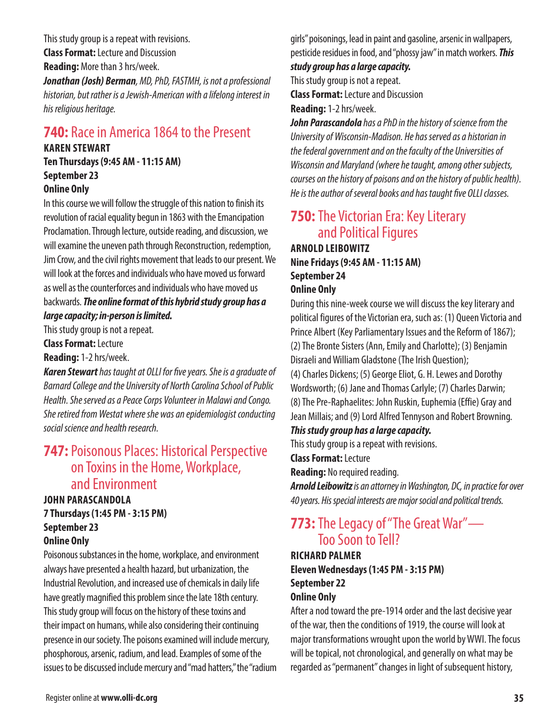This study group is a repeat with revisions. **Class Format:** Lecture and Discussion **Reading:** More than 3 hrs/week.

*Jonathan (Josh) Berman, MD, PhD, FASTMH, is not a professional historian, but rather is a Jewish-American with a lifelong interest in his religious heritage.*

## **740:** Race in America 1864 to the Present

#### **KAREN STEWART**

**Ten Thursdays (9:45 AM - 11:15 AM) September 23 Online Only**

In this course we will follow the struggle of this nation to finish its revolution of racial equality begun in 1863 with the Emancipation Proclamation. Through lecture, outside reading, and discussion, we will examine the uneven path through Reconstruction, redemption, Jim Crow, and the civil rights movement that leads to our present. We will look at the forces and individuals who have moved us forward as well as the counterforces and individuals who have moved us backwards. *The online format of this hybrid study group has a large capacity; in-person is limited.*

This study group is not a repeat.

#### **Class Format:** Lecture

**Reading:** 1-2 hrs/week.

*Karen Stewart has taught at OLLI for five years. She is a graduate of Barnard College and the University of North Carolina School of Public Health. She served as a Peace Corps Volunteer in Malawi and Congo. She retired from Westat where she was an epidemiologist conducting social science and health research.*

## **747:** Poisonous Places: Historical Perspective on Toxins in the Home, Workplace, and Environment

#### **JOHN PARASCANDOLA 7 Thursdays (1:45 PM - 3:15 PM) September 23 Online Only**

Poisonous substances in the home, workplace, and environment always have presented a health hazard, but urbanization, the Industrial Revolution, and increased use of chemicals in daily life have greatly magnified this problem since the late 18th century. This study group will focus on the history of these toxins and their impact on humans, while also considering their continuing presence in our society. The poisons examined will include mercury, phosphorous, arsenic, radium, and lead. Examples of some of the issues to be discussed include mercury and "mad hatters," the "radium

girls" poisonings, lead in paint and gasoline, arsenic in wallpapers, pesticide residues in food, and "phossy jaw" in match workers. *This study group has a large capacity.*

This study group is not a repeat.

**Class Format:** Lecture and Discussion

**Reading:** 1-2 hrs/week.

*John Parascandola has a PhD in the history of science from the University of Wisconsin-Madison. He has served as a historian in the federal government and on the faculty of the Universities of Wisconsin and Maryland (where he taught, among other subjects, courses on the history of poisons and on the history of public health). He is the author of several books and has taught five OLLI classes.*

## **750:** The Victorian Era: Key Literary and Political Figures **ARNOLD LEIBOWITZ Nine Fridays (9:45 AM - 11:15 AM) September 24**

## **Online Only**

During this nine-week course we will discuss the key literary and political figures of the Victorian era, such as: (1) Queen Victoria and Prince Albert (Key Parliamentary Issues and the Reform of 1867); (2) The Bronte Sisters (Ann, Emily and Charlotte); (3) Benjamin Disraeli and William Gladstone (The Irish Question); (4) Charles Dickens; (5) George Eliot, G. H. Lewes and Dorothy Wordsworth; (6) Jane and Thomas Carlyle; (7) Charles Darwin;

(8) The Pre-Raphaelites: John Ruskin, Euphemia (Effie) Gray and Jean Millais; and (9) Lord Alfred Tennyson and Robert Browning.

#### *This study group has a large capacity.*

This study group is a repeat with revisions.

**Class Format:** Lecture

**Reading:** No required reading.

*Arnold Leibowitz is an attorney in Washington, DC, in practice for over 40 years. His special interests are major social and political trends.*

## **773:** The Legacy of "The Great War"— Too Soon to Tell?

#### **RICHARD PALMER Eleven Wednesdays (1:45 PM - 3:15 PM) September 22 Online Only**

After a nod toward the pre-1914 order and the last decisive year of the war, then the conditions of 1919, the course will look at major transformations wrought upon the world by WWI. The focus will be topical, not chronological, and generally on what may be regarded as "permanent" changes in light of subsequent history,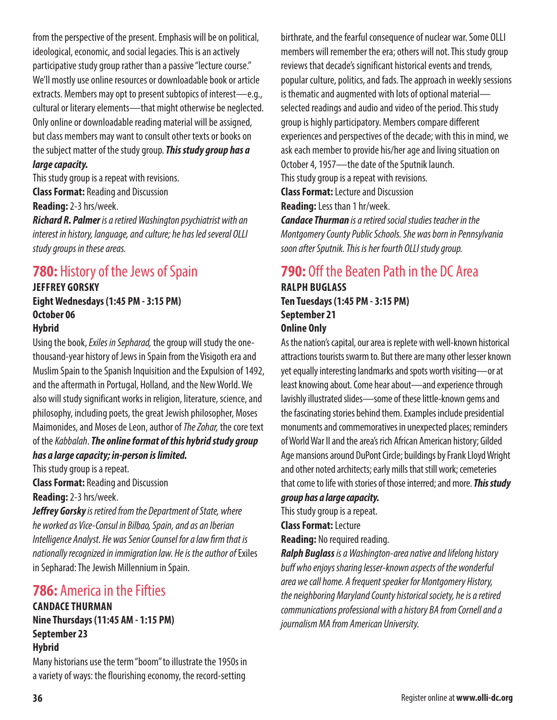from the perspective of the present. Emphasis will be on political, ideological, economic, and social legacies. This is an actively participative study group rather than a passive "lecture course." We'll mostly use online resources or downloadable book or article extracts. Members may opt to present subtopics of interest—e.g., cultural or literary elements—that might otherwise be neglected. Only online or downloadable reading material will be assigned, but class members may want to consult other texts or books on the subject matter of the study group. *This study group has a large capacity.*

This study group is a repeat with revisions. **Class Format:** Reading and Discussion **Reading:** 2-3 hrs/week.

*Richard R. Palmer is a retired Washington psychiatrist with an interest in history, language, and culture; he has led several OLLI study groups in these areas.*

## **780:** History of the Jews of Spain

#### **JEFFREY GORSKY Eight Wednesdays (1:45 PM - 3:15 PM) October 06 Hybrid**

Using the book, *Exiles in Sepharad,* the group will study the onethousand-year history of Jews in Spain from the Visigoth era and Muslim Spain to the Spanish Inquisition and the Expulsion of 1492, and the aftermath in Portugal, Holland, and the New World. We also will study significant works in religion, literature, science, and philosophy, including poets, the great Jewish philosopher, Moses Maimonides, and Moses de Leon, author of *The Zohar,* the core text of the *Kabbalah*. *The online format of this hybrid study group has a large capacity; in-person is limited.*

This study group is a repeat.

**Class Format:** Reading and Discussion

**Reading:** 2-3 hrs/week.

*Jeffrey Gorsky is retired from the Department of State, where he worked as Vice-Consul in Bilbao, Spain, and as an Iberian Intelligence Analyst. He was Senior Counsel for a law firm that is nationally recognized in immigration law. He is the author of* Exiles in Sepharad: The Jewish Millennium in Spain.

## **786:** America in the Fifties

#### **CANDACE THURMAN Nine Thursdays (11:45 AM - 1:15 PM) September 23 Hybrid**

Many historians use the term "boom" to illustrate the 1950s in a variety of ways: the flourishing economy, the record-setting

birthrate, and the fearful consequence of nuclear war. Some OLLI members will remember the era; others will not. This study group reviews that decade's significant historical events and trends, popular culture, politics, and fads. The approach in weekly sessions is thematic and augmented with lots of optional material selected readings and audio and video of the period. This study group is highly participatory. Members compare different experiences and perspectives of the decade; with this in mind, we ask each member to provide his/her age and living situation on October 4, 1957—the date of the Sputnik launch. This study group is a repeat with revisions. **Class Format:** Lecture and Discussion

**Reading:** Less than 1 hr/week.

*Candace Thurman is a retired social studies teacher in the Montgomery County Public Schools. She was born in Pennsylvania soon after Sputnik. This is her fourth OLLI study group.*

## **790:** Off the Beaten Path in the DC Area

**RALPH BUGLASS Ten Tuesdays (1:45 PM - 3:15 PM) September 21 Online Only**

As the nation's capital, our area is replete with well-known historical attractions tourists swarm to. But there are many other lesser known yet equally interesting landmarks and spots worth visiting—or at least knowing about. Come hear about—and experience through lavishly illustrated slides—some of these little-known gems and the fascinating stories behind them. Examples include presidential monuments and commemoratives in unexpected places; reminders of World War II and the area's rich African American history; Gilded Age mansions around DuPont Circle; buildings by Frank Lloyd Wright and other noted architects; early mills that still work; cemeteries that come to life with stories of those interred; and more. *This study group has a large capacity.*

This study group is a repeat.

**Class Format:** Lecture

**Reading:** No required reading.

*Ralph Buglass is a Washington-area native and lifelong history buff who enjoys sharing lesser-known aspects of the wonderful area we call home. A frequent speaker for Montgomery History, the neighboring Maryland County historical society, he is a retired communications professional with a history BA from Cornell and a journalism MA from American University.*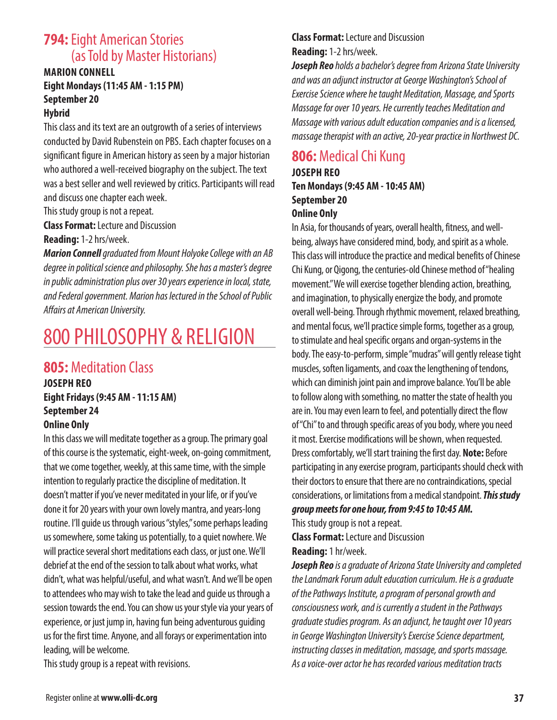## **794:** Eight American Stories (as Told by Master Historians)

## **MARION CONNELL Eight Mondays (11:45 AM - 1:15 PM) September 20**

#### **Hybrid**

This class and its text are an outgrowth of a series of interviews conducted by David Rubenstein on PBS. Each chapter focuses on a significant figure in American history as seen by a major historian who authored a well-received biography on the subject. The text was a best seller and well reviewed by critics. Participants will read and discuss one chapter each week.

This study group is not a repeat.

**Class Format:** Lecture and Discussion

**Reading:** 1-2 hrs/week.

*Marion Connell graduated from Mount Holyoke College with an AB degree in political science and philosophy. She has a master's degree in public administration plus over 30 years experience in local, state, and Federal government. Marion has lectured in the School of Public Affairs at American University.*

## 800 PHILOSOPHY & RELIGION

## **805:** Meditation Class

**JOSEPH REO Eight Fridays (9:45 AM - 11:15 AM) September 24 Online Only**

In this class we will meditate together as a group. The primary goal of this course is the systematic, eight-week, on-going commitment, that we come together, weekly, at this same time, with the simple intention to regularly practice the discipline of meditation. It doesn't matter if you've never meditated in your life, or if you've done it for 20 years with your own lovely mantra, and years-long routine. I'll guide us through various "styles," some perhaps leading us somewhere, some taking us potentially, to a quiet nowhere. We will practice several short meditations each class, or just one. We'll debrief at the end of the session to talk about what works, what didn't, what was helpful/useful, and what wasn't. And we'll be open to attendees who may wish to take the lead and guide us through a session towards the end. You can show us your style via your years of experience, or just jump in, having fun being adventurous guiding us for the first time. Anyone, and all forays or experimentation into leading, will be welcome.

This study group is a repeat with revisions.

**Class Format:** Lecture and Discussion **Reading:** 1-2 hrs/week.

*Joseph Reo holds a bachelor's degree from Arizona State University and was an adjunct instructor at George Washington's School of Exercise Science where he taught Meditation, Massage, and Sports Massage for over 10 years. He currently teaches Meditation and Massage with various adult education companies and is a licensed, massage therapist with an active, 20-year practice in Northwest DC.*

## **806:** Medical Chi Kung

**JOSEPH REO Ten Mondays (9:45 AM - 10:45 AM) September 20 Online Only**

In Asia, for thousands of years, overall health, fitness, and wellbeing, always have considered mind, body, and spirit as a whole. This class will introduce the practice and medical benefits of Chinese Chi Kung, or Qigong, the centuries-old Chinese method of "healing movement." We will exercise together blending action, breathing, and imagination, to physically energize the body, and promote overall well-being. Through rhythmic movement, relaxed breathing, and mental focus, we'll practice simple forms, together as a group, to stimulate and heal specific organs and organ-systems in the body. The easy-to-perform, simple "mudras" will gently release tight muscles, soften ligaments, and coax the lengthening of tendons, which can diminish joint pain and improve balance. You'll be able to follow along with something, no matter the state of health you are in. You may even learn to feel, and potentially direct the flow of "Chi" to and through specific areas of you body, where you need it most. Exercise modifications will be shown, when requested. Dress comfortably, we'll start training the first day. **Note:** Before participating in any exercise program, participants should check with their doctors to ensure that there are no contraindications, special considerations, or limitations from a medical standpoint. *This study group meets for one hour, from 9:45 to 10:45 AM.*

This study group is not a repeat. **Class Format:** Lecture and Discussion

**Reading:** 1 hr/week.

*Joseph Reo is a graduate of Arizona State University and completed the Landmark Forum adult education curriculum. He is a graduate of the Pathways Institute, a program of personal growth and consciousness work, and is currently a student in the Pathways graduate studies program. As an adjunct, he taught over 10 years in George Washington University's Exercise Science department, instructing classes in meditation, massage, and sports massage. As a voice-over actor he has recorded various meditation tracts*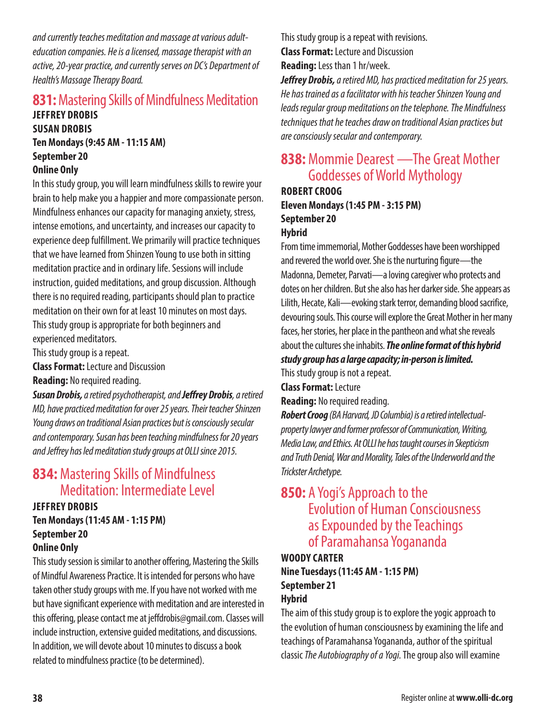*and currently teaches meditation and massage at various adulteducation companies. He is a licensed, massage therapist with an active, 20-year practice, and currently serves on DC's Department of Health's Massage Therapy Board.*

## **831:** Mastering Skills of Mindfulness Meditation

**JEFFREY DROBIS SUSAN DROBIS Ten Mondays (9:45 AM - 11:15 AM) September 20 Online Only**

In this study group, you will learn mindfulness skills to rewire your brain to help make you a happier and more compassionate person. Mindfulness enhances our capacity for managing anxiety, stress, intense emotions, and uncertainty, and increases our capacity to experience deep fulfillment. We primarily will practice techniques that we have learned from Shinzen Young to use both in sitting meditation practice and in ordinary life. Sessions will include instruction, guided meditations, and group discussion. Although there is no required reading, participants should plan to practice meditation on their own for at least 10 minutes on most days. This study group is appropriate for both beginners and experienced meditators.

This study group is a repeat.

**Class Format:** Lecture and Discussion

**Reading:** No required reading.

*Susan Drobis, a retired psychotherapist, and Jeffrey Drobis, a retired MD, have practiced meditation for over 25 years. Their teacher Shinzen Young draws on traditional Asian practices but is consciously secular and contemporary. Susan has been teaching mindfulness for 20 years and Jeffrey has led meditation study groups at OLLI since 2015.*

## **834:** Mastering Skills of Mindfulness Meditation: Intermediate Level

#### **JEFFREY DROBIS**

**Ten Mondays (11:45 AM - 1:15 PM) September 20 Online Only**

This study session is similar to another offering, Mastering the Skills of Mindful Awareness Practice. It is intended for persons who have taken other study groups with me. If you have not worked with me but have significant experience with meditation and are interested in this offering, please contact me at jeffdrobis@gmail.com. Classes will include instruction, extensive guided meditations, and discussions. In addition, we will devote about 10 minutes to discuss a book related to mindfulness practice (to be determined).

This study group is a repeat with revisions. **Class Format:** Lecture and Discussion **Reading:** Less than 1 hr/week.

*Jeffrey Drobis, a retired MD, has practiced meditation for 25 years. He has trained as a facilitator with his teacher Shinzen Young and leads regular group meditations on the telephone. The Mindfulness techniques that he teaches draw on traditional Asian practices but are consciously secular and contemporary.*

## **838:** Mommie Dearest —The Great Mother Goddesses of World Mythology

**ROBERT CROOG Eleven Mondays (1:45 PM - 3:15 PM) September 20 Hybrid**

From time immemorial, Mother Goddesses have been worshipped and revered the world over. She is the nurturing figure—the Madonna, Demeter, Parvati—a loving caregiver who protects and dotes on her children. But she also has her darker side. She appears as Lilith, Hecate, Kali—evoking stark terror, demanding blood sacrifice, devouring souls. This course will explore the Great Mother in her many faces, her stories, her place in the pantheon and what she reveals about the cultures she inhabits. *The online format of this hybrid study group has a large capacity; in-person is limited.*

This study group is not a repeat.

**Class Format:** Lecture

**Reading:** No required reading.

*Robert Croog (BA Harvard, JD Columbia) is a retired intellectualproperty lawyer and former professor of Communication, Writing, Media Law, and Ethics. At OLLI he has taught courses in Skepticism and Truth Denial, War and Morality, Tales of the Underworld and the Trickster Archetype.*

## **850:** A Yogi's Approach to the Evolution of Human Consciousness as Expounded by the Teachings of Paramahansa Yogananda

## **WOODY CARTER Nine Tuesdays (11:45 AM - 1:15 PM) September 21**

#### **Hybrid**

The aim of this study group is to explore the yogic approach to the evolution of human consciousness by examining the life and teachings of Paramahansa Yogananda, author of the spiritual classic *The Autobiography of a Yogi.* The group also will examine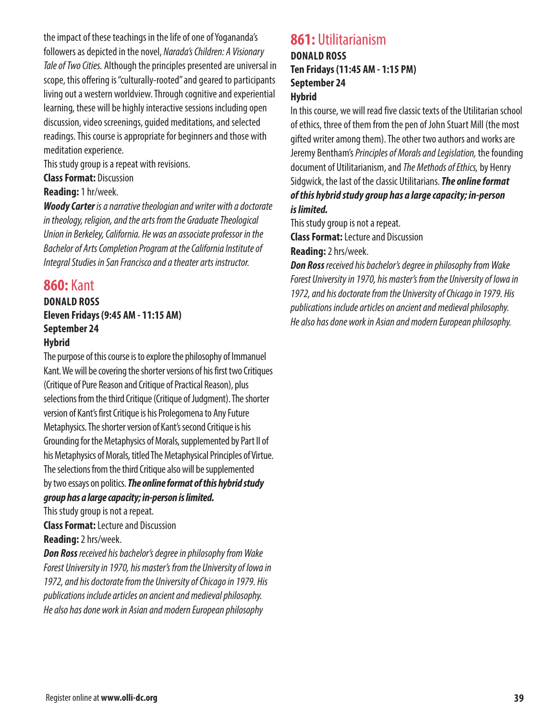the impact of these teachings in the life of one of Yogananda's followers as depicted in the novel, *Narada's Children: A Visionary Tale of Two Cities.* Although the principles presented are universal in scope, this offering is "culturally-rooted" and geared to participants living out a western worldview. Through cognitive and experiential learning, these will be highly interactive sessions including open discussion, video screenings, guided meditations, and selected readings. This course is appropriate for beginners and those with meditation experience.

This study group is a repeat with revisions.

**Class Format:** Discussion

#### **Reading:** 1 hr/week.

*Woody Carter is a narrative theologian and writer with a doctorate in theology, religion, and the arts from the Graduate Theological Union in Berkeley, California. He was an associate professor in the Bachelor of Arts Completion Program at the California Institute of Integral Studies in San Francisco and a theater arts instructor.*

## **860:** Kant

#### **DONALD ROSS Eleven Fridays (9:45 AM - 11:15 AM) September 24 Hybrid**

The purpose of this course is to explore the philosophy of Immanuel Kant. We will be covering the shorter versions of his first two Critiques (Critique of Pure Reason and Critique of Practical Reason), plus selections from the third Critique (Critique of Judgment). The shorter version of Kant's first Critique is his Prolegomena to Any Future Metaphysics. The shorter version of Kant's second Critique is his Grounding for the Metaphysics of Morals, supplemented by Part II of his Metaphysics of Morals, titled The Metaphysical Principles of Virtue. The selections from the third Critique also will be supplemented by two essays on politics. *The online format of this hybrid study group has a large capacity; in-person is limited.*

This study group is not a repeat.

**Class Format:** Lecture and Discussion **Reading:** 2 hrs/week.

*Don Ross received his bachelor's degree in philosophy from Wake Forest University in 1970, his master's from the University of Iowa in 1972, and his doctorate from the University of Chicago in 1979. His publications include articles on ancient and medieval philosophy. He also has done work in Asian and modern European philosophy*

## **861:** Utilitarianism **DONALD ROSS Ten Fridays (11:45 AM - 1:15 PM)**

#### **September 24 Hybrid**

In this course, we will read five classic texts of the Utilitarian school of ethics, three of them from the pen of John Stuart Mill (the most gifted writer among them). The other two authors and works are Jeremy Bentham's *Principles of Morals and Legislation,* the founding document of Utilitarianism, and *The Methods of Ethics,* by Henry Sidgwick, the last of the classic Utilitarians. *The online format of this hybrid study group has a large capacity; in-person is limited.*

This study group is not a repeat.

**Class Format:** Lecture and Discussion

#### **Reading:** 2 hrs/week.

*Don Ross received his bachelor's degree in philosophy from Wake Forest University in 1970, his master's from the University of Iowa in 1972, and his doctorate from the University of Chicago in 1979. His publications include articles on ancient and medieval philosophy. He also has done work in Asian and modern European philosophy.*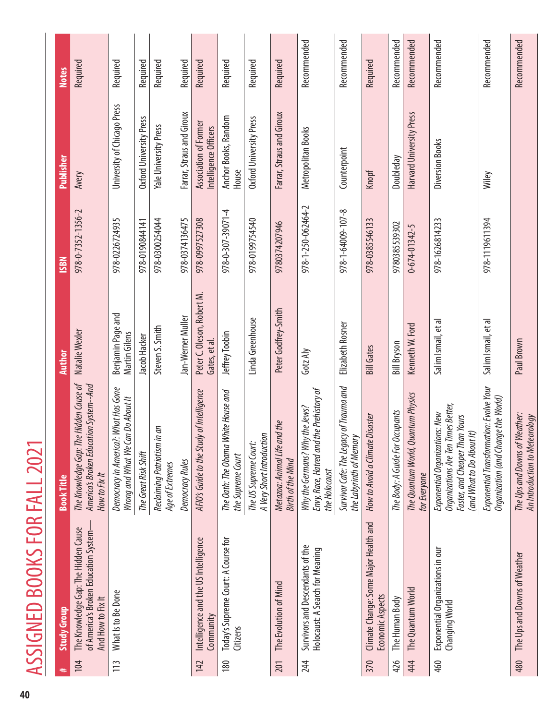|    | $\mathsf{C}$         |
|----|----------------------|
|    | $\frac{1}{2}$        |
|    |                      |
|    |                      |
|    |                      |
|    |                      |
|    |                      |
|    |                      |
|    |                      |
|    |                      |
|    | くし                   |
|    |                      |
|    | Ĩ                    |
|    |                      |
|    |                      |
|    |                      |
|    |                      |
|    |                      |
|    | č                    |
|    |                      |
|    |                      |
|    |                      |
|    |                      |
|    | $\overline{\bullet}$ |
|    |                      |
|    | l                    |
|    |                      |
|    |                      |
|    | ł                    |
|    |                      |
|    |                      |
| 40 |                      |

|     | <b>Study Group</b>                                                                                | <b>Book Title</b>                                                                                                                    | <b>Author</b>                              | <b>NSSI</b>        | Publisher                                      | <b>Notes</b> |
|-----|---------------------------------------------------------------------------------------------------|--------------------------------------------------------------------------------------------------------------------------------------|--------------------------------------------|--------------------|------------------------------------------------|--------------|
| 104 | The Knowledge Gap: The Hidden Cause<br>of America's Broken Education System-<br>And How to Fix It | The Knowledge Gap: The Hidden Cause of<br>America's Broken Education System--And<br>How to Fix It                                    | Natalie Wexler                             | 978-0-7352-1356-2  | Avery                                          | Required     |
| 113 | What Is to Be Done                                                                                | Democracy in America?: What Has Gone<br>Wrong and What We Can Do About It                                                            | Benjamin Page and<br>Martin Gilens         | 978-0226724935     | University of Chicago Press                    | Required     |
|     |                                                                                                   | The Great Risk Shift                                                                                                                 | Jacob Hacker                               | 978-0190844141     | Oxford University Press                        | Required     |
|     |                                                                                                   | Reclaiming Patriotism in an<br>Age of Extremes                                                                                       | Steven S. Smith                            | 978-0300254044     | Yale University Press                          | Required     |
|     |                                                                                                   | <b>Democracy Rules</b>                                                                                                               | Jan-Werner Muller                          | 978-0374136475     | Farrar, Straus and Giroux                      | Required     |
| 142 | Intelligence and the US Intelligence<br>Community                                                 | AFIO's Guide to the Study of Intelligence                                                                                            | Peter C. Oleson, Robert M.<br>Gates, et al | 978-0997527308     | Association of Former<br>Intelligence Officers | Required     |
| 180 | Today's Supreme Court: A Course for<br>Citizens                                                   | White House and<br>The Oath: The Obama<br>the Supreme Court                                                                          | Jeffrey Toobin                             | 978-0-307-39071-4  | Anchor Books, Random<br>House                  | Required     |
|     |                                                                                                   | A Very Short Introduction<br>The US Supreme Court:                                                                                   | Linda Greenhouse                           | 978-0199754540     | Oxford University Press                        | Required     |
| 201 | The Evolution of Mind                                                                             | Metazoa: Animal Life and the<br><b>Birth of the Mind</b>                                                                             | Peter Godfrey-Smith                        | 9780374207946      | Farrar, Straus and Giroux                      | Required     |
| 244 | Survivors and Descendants of the<br>Holocaust: A Search for Meaning                               | Envy, Race, Hatred and the Prehistory of<br>Why the Germans? Why the Jews?<br>the Holocaust                                          | Gotz Aly                                   | 978-1-250-062464-2 | Metropolitan Books                             | Recommended  |
|     |                                                                                                   | Survivor Cafe: The Legacy of Trauma and<br>the Labyrinth of Memory                                                                   | Elizabeth Rosner                           | 978-1-64009-107-8  | Counterpoint                                   | Recommended  |
| 370 | Climate Change: Some Major Health and<br>Economic Aspects                                         | How to Avoid a Climate Disaster                                                                                                      | <b>Bill Gates</b>                          | 978-0385546133     | Knopf                                          | Required     |
| 426 | The Human Body                                                                                    | Occupants<br>The Body: A Guide For                                                                                                   | <b>Bill Bryson</b>                         | 9780385539302      | Doubleday                                      | Recommended  |
| 44  | The Quantum World                                                                                 | The Quantum World, Quantum Physics<br>for Everyone                                                                                   | Kenneth W. Ford                            | 0-674-01342-5      | Harvard University Press                       | Recommended  |
| 460 | Exponential Organizations in our<br>Changing World                                                | Organizations Are Ten Times Better,<br>Exponential Organizations: New<br>Faster, and Cheaper Than Yours<br>(and What to Do About It) | Salim Ismail, et al                        | 978-1626814233     | Diversion Books                                | Recommended  |
|     |                                                                                                   | Exponential Transformation: Evolve Your<br>Organization (and Change the World)                                                       | Salim Ismail, et al                        | 978-119611394      | Wiley                                          | Recommended  |
| 480 | The Ups and Downs of Weather                                                                      | The Ups and Downs of Weather:<br>An Introduction to Meteorology                                                                      | Paul Brown                                 |                    |                                                | Recommended  |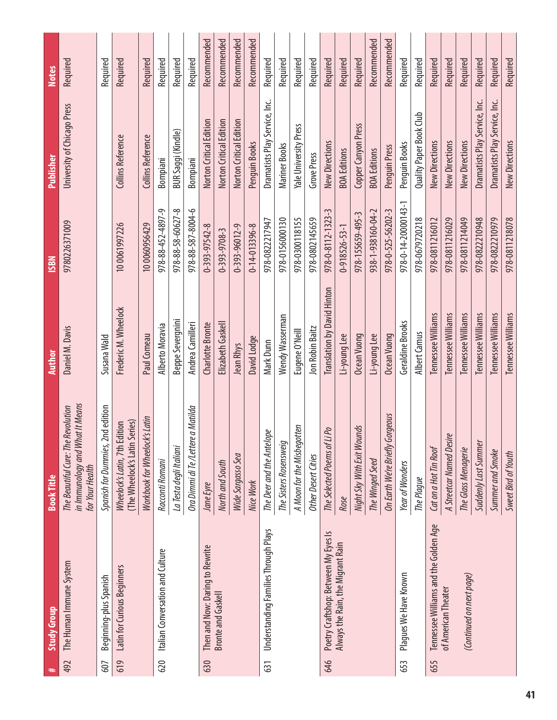| #   | <b>Study Group</b>                    | <b>Book Title</b>                                                                        | <b>Author</b>                      | <b>ISBN</b>           | <b>Publisher</b>               | <b>Notes</b> |
|-----|---------------------------------------|------------------------------------------------------------------------------------------|------------------------------------|-----------------------|--------------------------------|--------------|
| 492 | The Human Immune System               | in Immunology and What It Means<br>The Beautiful Cure: The Revolution<br>for Your Health | Daniel M. Davis                    | 9780226371009         | University of Chicago Press    | Required     |
| 607 | Beginning-plus Spanish                | Spanish for Dummies, 2nd edition                                                         | Susana Wald                        |                       |                                | Required     |
| 619 | Latin for Curious Beginners           | (The Wheelock's Latin Series)<br>Wheelock's Latin, 7th Edition                           | Frederic M. Wheelock               | 10 0061997226         | Collins Reference              | Required     |
|     |                                       | Workbook for Wheelock's Latin                                                            | Paul Comeau                        | 10 0060956429         | Collins Reference              | Required     |
| 620 | Italian Conversation and Culture      | Racconti Romani                                                                          | Alberto Moravia                    | 978-88-452-4897-9     | Bompiani                       | Required     |
|     |                                       | La Testa degli Italiani                                                                  | <b>Beppe Severgnini</b>            | 978-88-58-60627-8     | BUR Saggi (Kindle)             | Required     |
|     |                                       | Ora Dimmi di Te /Lettere a Matilda                                                       | Andrea Camilleri                   | 978-88-587-8004-6     | Bompiani                       | Required     |
| 630 | Then and Now: Daring to Rewrite       | Jane Eyre                                                                                | Charlotte Bronte                   | 0-393-97542-8         | Norton Critical Edition        | Recommended  |
|     | <b>Bronte and Gaskell</b>             | North and South                                                                          | Elizabeth Gaskell                  | $0 - 393 - 9708 - 3$  | Norton Critical Edition        | Recommended  |
|     |                                       | Wide Sargasso Sea                                                                        | Jean Rhys                          | 0-393-96012-9         | Norton Critical Edition        | Recommended  |
|     |                                       | Nice Work                                                                                | David Lodge                        | $0 - 14 - 013396 - 8$ | Penguin Books                  | Recommended  |
| 631 | Understanding Families Through Plays  | The Deer and the Antelope                                                                | Mark Dunn                          | 978-0822217947        | Dramatists Play Service, Inc.  | Required     |
|     |                                       | The Sisters Rosensweig                                                                   | Wendy Wasserman                    | 978-0156000130        | Mariner Books                  | Required     |
|     |                                       | A Moon for the Misbegotten                                                               | Eugene O'Neill                     | 978-0300118155        | Yale University Press          | Required     |
|     |                                       | <b>Other Desert Cities</b>                                                               | Jon Robin Baitz                    | 978-0802145659        | Grove Press                    | Required     |
| 646 | Poetry Craftshop: Between My Eyes Is  | The Selected Poems of Li Po                                                              | <b>Translation by David Hinton</b> | 978-0-8112-1323-3     | New Directions                 | Required     |
|     | Always the Rain, the Migrant Rain     | Rose                                                                                     | Li-young Lee                       | $0 - 918526 - 53 - 1$ | <b>BOA Editions</b>            | Required     |
|     |                                       | Night Sky With Exit Wounds                                                               | Ocean Vuong                        | 978-155659-495-3      | Copper Canyon Press            | Required     |
|     |                                       | The Winged Seed                                                                          | Li-young Lee                       | 938-1-938160-04-2     | <b>BOA Editions</b>            | Recommended  |
|     |                                       | On Earth We're Briefly Gorgeous                                                          | Ocean Vuong                        | 978-0-525-56202-3     | Penguin Press                  | Recommended  |
| 653 | Plagues We Have Known                 | Year of Wonders                                                                          | Geraldine Brooks                   | 978-0-14-20000143-1   | Penguin Books                  | Required     |
|     |                                       | The Plaque                                                                               | Albert Camus                       | 978-0679720218        | <b>Quality Paper Book Club</b> | Required     |
| 655 | Tennessee Williams and the Golden Age | Cat on a Hot Tin Roof                                                                    | Tennessee Williams                 | 978-0811216012        | New Directions                 | Required     |
|     | of American Theater                   | A Streetcar Named Desire                                                                 | Tennessee Williams                 | 978-0811216029        | New Directions                 | Required     |
|     | (Continued on next page)              | The Glass Menagerie                                                                      | Tennessee Williams                 | 978-0811214049        | New Directions                 | Required     |
|     |                                       | Suddenly Last Summer                                                                     | Tennessee Williams                 | 978-0822210948        | Dramatists Play Service, Inc.  | Required     |
|     |                                       | Summer and Smoke                                                                         | Tennessee Williams                 | 978-0822210979        | Dramatists Play Service, Inc.  | Required     |
|     |                                       | Sweet Bird of Youth                                                                      | Tennessee Williams                 | 978-0811218078        | New Directions                 | Required     |